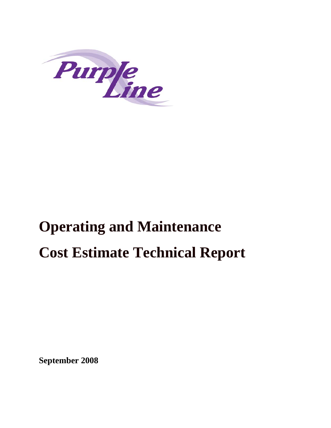

# **Operating and Maintenance Cost Estimate Technical Report**

**September 2008**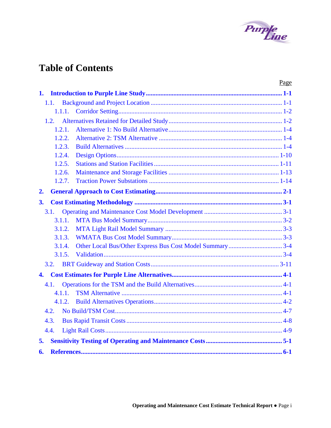

# **Table of Contents**

|        | Page |
|--------|------|
| 1.     |      |
| 1.1.   |      |
| 1.1.1. |      |
| 1.2.   |      |
| 1.2.1. |      |
| 1.2.2. |      |
| 1.2.3. |      |
| 1.2.4. |      |
| 1.2.5. |      |
| 1.2.6. |      |
| 1.2.7. |      |
| 2.     |      |
| 3.     |      |
| 3.1.   |      |
| 3.1.1. |      |
| 3.1.2. |      |
| 3.1.3. |      |
| 3.1.4. |      |
| 3.1.5. |      |
| 3.2.   |      |
| 4.     |      |
| 4.1.   |      |
| 4.1.1. |      |
| 4.1.2. |      |
| 4.2.   |      |
| 4.3.   |      |
| 4.4.   |      |
| 5.     |      |
| 6.     |      |
|        |      |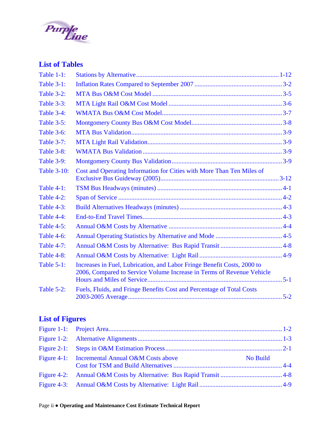

### **List of Tables**

| Table 1-1:         |                                                                                                                                                  |  |
|--------------------|--------------------------------------------------------------------------------------------------------------------------------------------------|--|
| <b>Table 3-1:</b>  |                                                                                                                                                  |  |
| Table $3-2$ :      |                                                                                                                                                  |  |
| <b>Table 3-3:</b>  |                                                                                                                                                  |  |
| Table 3-4:         |                                                                                                                                                  |  |
| <b>Table 3-5:</b>  |                                                                                                                                                  |  |
| Table 3-6:         |                                                                                                                                                  |  |
| <b>Table 3-7:</b>  |                                                                                                                                                  |  |
| Table 3-8:         |                                                                                                                                                  |  |
| <b>Table 3-9:</b>  |                                                                                                                                                  |  |
| <b>Table 3-10:</b> | Cost and Operating Information for Cities with More Than Ten Miles of                                                                            |  |
| Table $4-1$ :      |                                                                                                                                                  |  |
| Table 4-2:         |                                                                                                                                                  |  |
| <b>Table 4-3:</b>  |                                                                                                                                                  |  |
| Table 4-4:         |                                                                                                                                                  |  |
| <b>Table 4-5:</b>  |                                                                                                                                                  |  |
| <b>Table 4-6:</b>  |                                                                                                                                                  |  |
| <b>Table 4-7:</b>  |                                                                                                                                                  |  |
| Table 4-8:         |                                                                                                                                                  |  |
| <b>Table 5-1:</b>  | Increases in Fuel, Lubrication, and Labor Fringe Benefit Costs, 2000 to<br>2006, Compared to Service Volume Increase in Terms of Revenue Vehicle |  |
| Table 5-2:         | Fuels, Fluids, and Fringe Benefits Cost and Percentage of Total Costs                                                                            |  |
|                    |                                                                                                                                                  |  |

### **List of Figures**

| Figure 4-1: Incremental Annual O&M Costs above | No Build |  |
|------------------------------------------------|----------|--|
|                                                |          |  |
|                                                |          |  |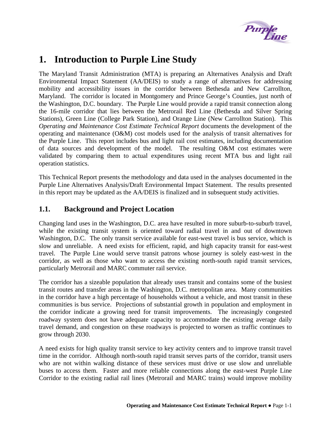

### <span id="page-3-0"></span>**1. Introduction to Purple Line Study**

The Maryland Transit Administration (MTA) is preparing an Alternatives Analysis and Draft Environmental Impact Statement (AA/DEIS) to study a range of alternatives for addressing mobility and accessibility issues in the corridor between Bethesda and New Carrollton, Maryland. The corridor is located in Montgomery and Prince George's Counties, just north of the Washington, D.C. boundary. The Purple Line would provide a rapid transit connection along the 16-mile corridor that lies between the Metrorail Red Line (Bethesda and Silver Spring Stations), Green Line (College Park Station), and Orange Line (New Carrollton Station). This *Operating and Maintenance Cost Estimate Technical Report* documents the development of the operating and maintenance (O&M) cost models used for the analysis of transit alternatives for the Purple Line. This report includes bus and light rail cost estimates, including documentation of data sources and development of the model. The resulting O&M cost estimates were validated by comparing them to actual expenditures using recent MTA bus and light rail operation statistics.

This Technical Report presents the methodology and data used in the analyses documented in the Purple Line Alternatives Analysis/Draft Environmental Impact Statement. The results presented in this report may be updated as the AA/DEIS is finalized and in subsequent study activities.

### **1.1. Background and Project Location**

Changing land uses in the Washington, D.C. area have resulted in more suburb-to-suburb travel, while the existing transit system is oriented toward radial travel in and out of downtown Washington, D.C. The only transit service available for east-west travel is bus service, which is slow and unreliable. A need exists for efficient, rapid, and high capacity transit for east-west travel. The Purple Line would serve transit patrons whose journey is solely east-west in the corridor, as well as those who want to access the existing north-south rapid transit services, particularly Metrorail and MARC commuter rail service.

The corridor has a sizeable population that already uses transit and contains some of the busiest transit routes and transfer areas in the Washington, D.C. metropolitan area. Many communities in the corridor have a high percentage of households without a vehicle, and most transit in these communities is bus service. Projections of substantial growth in population and employment in the corridor indicate a growing need for transit improvements. The increasingly congested roadway system does not have adequate capacity to accommodate the existing average daily travel demand, and congestion on these roadways is projected to worsen as traffic continues to grow through 2030.

A need exists for high quality transit service to key activity centers and to improve transit travel time in the corridor. Although north-south rapid transit serves parts of the corridor, transit users who are not within walking distance of these services must drive or use slow and unreliable buses to access them. Faster and more reliable connections along the east-west Purple Line Corridor to the existing radial rail lines (Metrorail and MARC trains) would improve mobility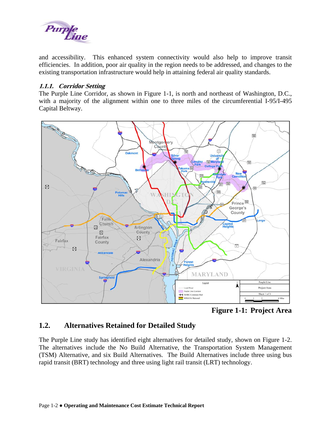<span id="page-4-0"></span>

and accessibility. This enhanced system connectivity would also help to improve transit efficiencies. In addition, poor air quality in the region needs to be addressed, and changes to the existing transportation infrastructure would help in attaining federal air quality standards.

### **1.1.1. Corridor Setting**

The Purple Line Corridor, as shown in Figure 1-1, is north and northeast of Washington, D.C., with a majority of the alignment within one to three miles of the circumferential I-95/I-495 Capital Beltway.



**Figure 1-1: Project Area** 

### **1.2. Alternatives Retained for Detailed Study**

The Purple Line study has identified eight alternatives for detailed study, shown on Figure 1-2. The alternatives include the No Build Alternative, the Transportation System Management (TSM) Alternative, and six Build Alternatives. The Build Alternatives include three using bus rapid transit (BRT) technology and three using light rail transit (LRT) technology.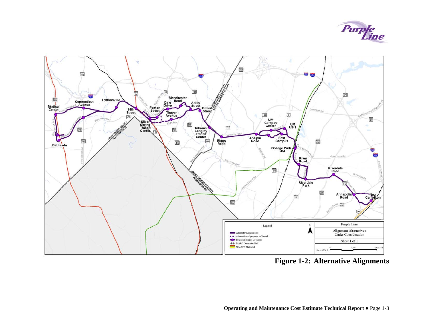

<span id="page-5-0"></span>

**Figure 1-2: Alternative Alignments**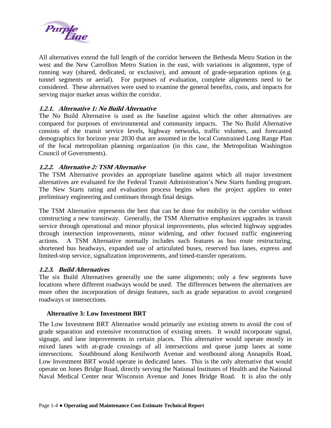<span id="page-6-0"></span>

All alternatives extend the full length of the corridor between the Bethesda Metro Station in the west and the New Carrollton Metro Station in the east, with variations in alignment, type of running way (shared, dedicated, or exclusive), and amount of grade-separation options (e.g. tunnel segments or aerial). For purposes of evaluation, complete alignments need to be considered. These alternatives were used to examine the general benefits, costs, and impacts for serving major market areas within the corridor.

### **1.2.1. Alternative 1: No Build Alternative**

The No Build Alternative is used as the baseline against which the other alternatives are compared for purposes of environmental and community impacts. The No Build Alternative consists of the transit service levels, highway networks, traffic volumes, and forecasted demographics for horizon year 2030 that are assumed in the local Constrained Long Range Plan of the local metropolitan planning organization (in this case, the Metropolitan Washington Council of Governments).

### **1.2.2. Alternative 2: TSM Alternative**

The TSM Alternative provides an appropriate baseline against which all major investment alternatives are evaluated for the Federal Transit Administration's New Starts funding program. The New Starts rating and evaluation process begins when the project applies to enter preliminary engineering and continues through final design.

The TSM Alternative represents the best that can be done for mobility in the corridor without constructing a new transitway. Generally, the TSM Alternative emphasizes upgrades in transit service through operational and minor physical improvements, plus selected highway upgrades through intersection improvements, minor widening, and other focused traffic engineering actions. A TSM Alternative normally includes such features as bus route restructuring, shortened bus headways, expanded use of articulated buses, reserved bus lanes, express and limited-stop service, signalization improvements, and timed-transfer operations.

#### **1.2.3. Build Alternatives**

The six Build Alternatives generally use the same alignments; only a few segments have locations where different roadways would be used. The differences between the alternatives are more often the incorporation of design features, such as grade separation to avoid congested roadways or intersections.

#### **Alternative 3: Low Investment BRT**

The Low Investment BRT Alternative would primarily use existing streets to avoid the cost of grade separation and extensive reconstruction of existing streets. It would incorporate signal, signage, and lane improvements in certain places. This alternative would operate mostly in mixed lanes with at-grade crossings of all intersections and queue jump lanes at some intersections. Southbound along Kenilworth Avenue and westbound along Annapolis Road, Low Investment BRT would operate in dedicated lanes. This is the only alternative that would operate on Jones Bridge Road, directly serving the National Institutes of Health and the National Naval Medical Center near Wisconsin Avenue and Jones Bridge Road. It is also the only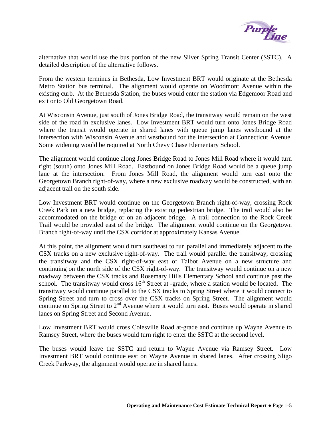

alternative that would use the bus portion of the new Silver Spring Transit Center (SSTC). A detailed description of the alternative follows.

From the western terminus in Bethesda, Low Investment BRT would originate at the Bethesda Metro Station bus terminal. The alignment would operate on Woodmont Avenue within the existing curb. At the Bethesda Station, the buses would enter the station via Edgemoor Road and exit onto Old Georgetown Road.

At Wisconsin Avenue, just south of Jones Bridge Road, the transitway would remain on the west side of the road in exclusive lanes. Low Investment BRT would turn onto Jones Bridge Road where the transit would operate in shared lanes with queue jump lanes westbound at the intersection with Wisconsin Avenue and westbound for the intersection at Connecticut Avenue. Some widening would be required at North Chevy Chase Elementary School.

The alignment would continue along Jones Bridge Road to Jones Mill Road where it would turn right (south) onto Jones Mill Road. Eastbound on Jones Bridge Road would be a queue jump lane at the intersection. From Jones Mill Road, the alignment would turn east onto the Georgetown Branch right-of-way, where a new exclusive roadway would be constructed, with an adjacent trail on the south side.

Low Investment BRT would continue on the Georgetown Branch right-of-way, crossing Rock Creek Park on a new bridge, replacing the existing pedestrian bridge. The trail would also be accommodated on the bridge or on an adjacent bridge. A trail connection to the Rock Creek Trail would be provided east of the bridge. The alignment would continue on the Georgetown Branch right-of-way until the CSX corridor at approximately Kansas Avenue.

At this point, the alignment would turn southeast to run parallel and immediately adjacent to the CSX tracks on a new exclusive right-of-way. The trail would parallel the transitway, crossing the transitway and the CSX right-of-way east of Talbot Avenue on a new structure and continuing on the north side of the CSX right-of-way. The transitway would continue on a new roadway between the CSX tracks and Rosemary Hills Elementary School and continue past the school. The transitway would cross  $16<sup>th</sup>$  Street at -grade, where a station would be located. The transitway would continue parallel to the CSX tracks to Spring Street where it would connect to Spring Street and turn to cross over the CSX tracks on Spring Street. The alignment would continue on Spring Street to 2<sup>nd</sup> Avenue where it would turn east. Buses would operate in shared lanes on Spring Street and Second Avenue.

Low Investment BRT would cross Colesville Road at-grade and continue up Wayne Avenue to Ramsey Street, where the buses would turn right to enter the SSTC at the second level.

The buses would leave the SSTC and return to Wayne Avenue via Ramsey Street. Low Investment BRT would continue east on Wayne Avenue in shared lanes. After crossing Sligo Creek Parkway, the alignment would operate in shared lanes.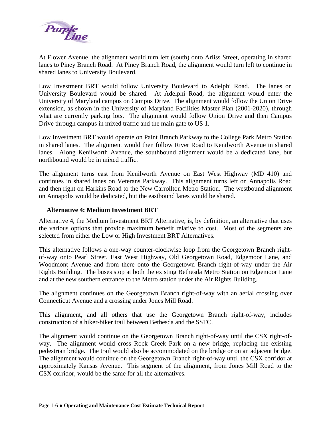

At Flower Avenue, the alignment would turn left (south) onto Arliss Street, operating in shared lanes to Piney Branch Road. At Piney Branch Road, the alignment would turn left to continue in shared lanes to University Boulevard.

Low Investment BRT would follow University Boulevard to Adelphi Road. The lanes on University Boulevard would be shared. At Adelphi Road, the alignment would enter the University of Maryland campus on Campus Drive. The alignment would follow the Union Drive extension, as shown in the University of Maryland Facilities Master Plan (2001-2020), through what are currently parking lots. The alignment would follow Union Drive and then Campus Drive through campus in mixed traffic and the main gate to US 1.

Low Investment BRT would operate on Paint Branch Parkway to the College Park Metro Station in shared lanes. The alignment would then follow River Road to Kenilworth Avenue in shared lanes. Along Kenilworth Avenue, the southbound alignment would be a dedicated lane, but northbound would be in mixed traffic.

The alignment turns east from Kenilworth Avenue on East West Highway (MD 410) and continues in shared lanes on Veterans Parkway. This alignment turns left on Annapolis Road and then right on Harkins Road to the New Carrollton Metro Station. The westbound alignment on Annapolis would be dedicated, but the eastbound lanes would be shared.

#### **Alternative 4: Medium Investment BRT**

Alternative 4, the Medium Investment BRT Alternative, is, by definition, an alternative that uses the various options that provide maximum benefit relative to cost. Most of the segments are selected from either the Low or High Investment BRT Alternatives.

This alternative follows a one-way counter-clockwise loop from the Georgetown Branch rightof-way onto Pearl Street, East West Highway, Old Georgetown Road, Edgemoor Lane, and Woodmont Avenue and from there onto the Georgetown Branch right-of-way under the Air Rights Building. The buses stop at both the existing Bethesda Metro Station on Edgemoor Lane and at the new southern entrance to the Metro station under the Air Rights Building.

The alignment continues on the Georgetown Branch right-of-way with an aerial crossing over Connecticut Avenue and a crossing under Jones Mill Road.

This alignment, and all others that use the Georgetown Branch right-of-way, includes construction of a hiker-biker trail between Bethesda and the SSTC.

The alignment would continue on the Georgetown Branch right-of-way until the CSX right-ofway. The alignment would cross Rock Creek Park on a new bridge, replacing the existing pedestrian bridge. The trail would also be accommodated on the bridge or on an adjacent bridge. The alignment would continue on the Georgetown Branch right-of-way until the CSX corridor at approximately Kansas Avenue. This segment of the alignment, from Jones Mill Road to the CSX corridor, would be the same for all the alternatives.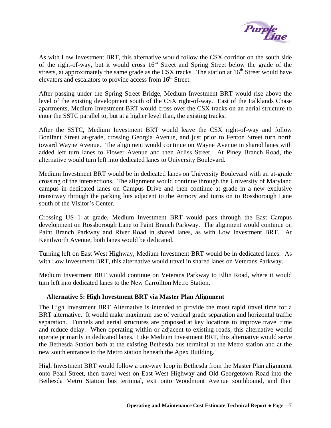

As with Low Investment BRT, this alternative would follow the CSX corridor on the south side of the right-of-way, but it would cross  $16<sup>th</sup>$  Street and Spring Street below the grade of the streets, at approximately the same grade as the CSX tracks. The station at  $16<sup>th</sup>$  Street would have elevators and escalators to provide access from  $16<sup>th</sup>$  Street.

After passing under the Spring Street Bridge, Medium Investment BRT would rise above the level of the existing development south of the CSX right-of-way. East of the Falklands Chase apartments, Medium Investment BRT would cross over the CSX tracks on an aerial structure to enter the SSTC parallel to, but at a higher level than, the existing tracks.

After the SSTC, Medium Investment BRT would leave the CSX right-of-way and follow Bonifant Street at-grade, crossing Georgia Avenue, and just prior to Fenton Street turn north toward Wayne Avenue. The alignment would continue on Wayne Avenue in shared lanes with added left turn lanes to Flower Avenue and then Arliss Street. At Piney Branch Road, the alternative would turn left into dedicated lanes to University Boulevard.

Medium Investment BRT would be in dedicated lanes on University Boulevard with an at-grade crossing of the intersections. The alignment would continue through the University of Maryland campus in dedicated lanes on Campus Drive and then continue at grade in a new exclusive transitway through the parking lots adjacent to the Armory and turns on to Rossborough Lane south of the Visitor's Center.

Crossing US 1 at grade, Medium Investment BRT would pass through the East Campus development on Rossborough Lane to Paint Branch Parkway. The alignment would continue on Paint Branch Parkway and River Road in shared lanes, as with Low Investment BRT. At Kenilworth Avenue, both lanes would be dedicated.

Turning left on East West Highway, Medium Investment BRT would be in dedicated lanes. As with Low Investment BRT, this alternative would travel in shared lanes on Veterans Parkway.

Medium Investment BRT would continue on Veterans Parkway to Ellin Road, where it would turn left into dedicated lanes to the New Carrollton Metro Station.

#### **Alternative 5: High Investment BRT via Master Plan Alignment**

The High Investment BRT Alternative is intended to provide the most rapid travel time for a BRT alternative. It would make maximum use of vertical grade separation and horizontal traffic separation. Tunnels and aerial structures are proposed at key locations to improve travel time and reduce delay. When operating within or adjacent to existing roads, this alternative would operate primarily in dedicated lanes. Like Medium Investment BRT, this alternative would serve the Bethesda Station both at the existing Bethesda bus terminal at the Metro station and at the new south entrance to the Metro station beneath the Apex Building.

High Investment BRT would follow a one-way loop in Bethesda from the Master Plan alignment onto Pearl Street, then travel west on East West Highway and Old Georgetown Road into the Bethesda Metro Station bus terminal, exit onto Woodmont Avenue southbound, and then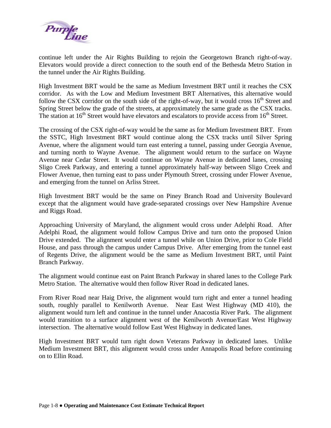

continue left under the Air Rights Building to rejoin the Georgetown Branch right-of-way. Elevators would provide a direct connection to the south end of the Bethesda Metro Station in the tunnel under the Air Rights Building.

High Investment BRT would be the same as Medium Investment BRT until it reaches the CSX corridor. As with the Low and Medium Investment BRT Alternatives, this alternative would follow the CSX corridor on the south side of the right-of-way, but it would cross  $16<sup>th</sup>$  Street and Spring Street below the grade of the streets, at approximately the same grade as the CSX tracks. The station at  $16<sup>th</sup>$  Street would have elevators and escalators to provide access from  $16<sup>th</sup>$  Street.

The crossing of the CSX right-of-way would be the same as for Medium Investment BRT. From the SSTC, High Investment BRT would continue along the CSX tracks until Silver Spring Avenue, where the alignment would turn east entering a tunnel, passing under Georgia Avenue, and turning north to Wayne Avenue. The alignment would return to the surface on Wayne Avenue near Cedar Street. It would continue on Wayne Avenue in dedicated lanes, crossing Sligo Creek Parkway, and entering a tunnel approximately half-way between Sligo Creek and Flower Avenue, then turning east to pass under Plymouth Street, crossing under Flower Avenue, and emerging from the tunnel on Arliss Street.

High Investment BRT would be the same on Piney Branch Road and University Boulevard except that the alignment would have grade-separated crossings over New Hampshire Avenue and Riggs Road.

Approaching University of Maryland, the alignment would cross under Adelphi Road. After Adelphi Road, the alignment would follow Campus Drive and turn onto the proposed Union Drive extended. The alignment would enter a tunnel while on Union Drive, prior to Cole Field House, and pass through the campus under Campus Drive. After emerging from the tunnel east of Regents Drive, the alignment would be the same as Medium Investment BRT, until Paint Branch Parkway.

The alignment would continue east on Paint Branch Parkway in shared lanes to the College Park Metro Station. The alternative would then follow River Road in dedicated lanes.

From River Road near Haig Drive, the alignment would turn right and enter a tunnel heading south, roughly parallel to Kenilworth Avenue. Near East West Highway (MD 410), the alignment would turn left and continue in the tunnel under Anacostia River Park. The alignment would transition to a surface alignment west of the Kenilworth Avenue/East West Highway intersection. The alternative would follow East West Highway in dedicated lanes.

High Investment BRT would turn right down Veterans Parkway in dedicated lanes. Unlike Medium Investment BRT, this alignment would cross under Annapolis Road before continuing on to Ellin Road.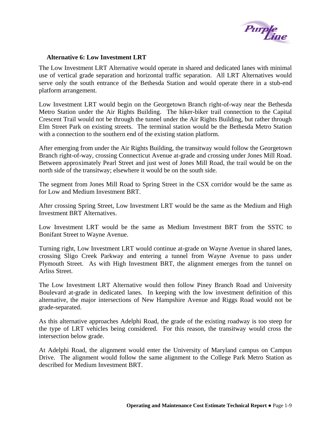

#### **Alternative 6: Low Investment LRT**

The Low Investment LRT Alternative would operate in shared and dedicated lanes with minimal use of vertical grade separation and horizontal traffic separation. All LRT Alternatives would serve only the south entrance of the Bethesda Station and would operate there in a stub-end platform arrangement.

Low Investment LRT would begin on the Georgetown Branch right-of-way near the Bethesda Metro Station under the Air Rights Building. The hiker-biker trail connection to the Capital Crescent Trail would not be through the tunnel under the Air Rights Building, but rather through Elm Street Park on existing streets. The terminal station would be the Bethesda Metro Station with a connection to the southern end of the existing station platform.

After emerging from under the Air Rights Building, the transitway would follow the Georgetown Branch right-of-way, crossing Connecticut Avenue at-grade and crossing under Jones Mill Road. Between approximately Pearl Street and just west of Jones Mill Road, the trail would be on the north side of the transitway; elsewhere it would be on the south side.

The segment from Jones Mill Road to Spring Street in the CSX corridor would be the same as for Low and Medium Investment BRT.

After crossing Spring Street, Low Investment LRT would be the same as the Medium and High Investment BRT Alternatives.

Low Investment LRT would be the same as Medium Investment BRT from the SSTC to Bonifant Street to Wayne Avenue.

Turning right, Low Investment LRT would continue at-grade on Wayne Avenue in shared lanes, crossing Sligo Creek Parkway and entering a tunnel from Wayne Avenue to pass under Plymouth Street. As with High Investment BRT, the alignment emerges from the tunnel on Arliss Street.

The Low Investment LRT Alternative would then follow Piney Branch Road and University Boulevard at-grade in dedicated lanes. In keeping with the low investment definition of this alternative, the major intersections of New Hampshire Avenue and Riggs Road would not be grade-separated.

As this alternative approaches Adelphi Road, the grade of the existing roadway is too steep for the type of LRT vehicles being considered. For this reason, the transitway would cross the intersection below grade.

At Adelphi Road, the alignment would enter the University of Maryland campus on Campus Drive. The alignment would follow the same alignment to the College Park Metro Station as described for Medium Investment BRT.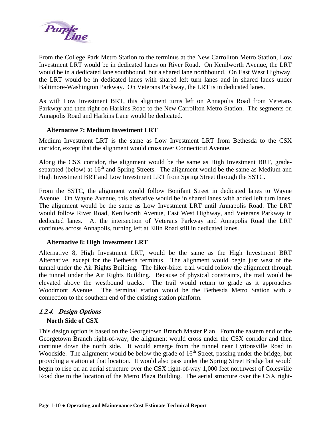<span id="page-12-0"></span>

From the College Park Metro Station to the terminus at the New Carrollton Metro Station, Low Investment LRT would be in dedicated lanes on River Road. On Kenilworth Avenue, the LRT would be in a dedicated lane southbound, but a shared lane northbound. On East West Highway, the LRT would be in dedicated lanes with shared left turn lanes and in shared lanes under Baltimore-Washington Parkway. On Veterans Parkway, the LRT is in dedicated lanes.

As with Low Investment BRT, this alignment turns left on Annapolis Road from Veterans Parkway and then right on Harkins Road to the New Carrollton Metro Station. The segments on Annapolis Road and Harkins Lane would be dedicated.

#### **Alternative 7: Medium Investment LRT**

Medium Investment LRT is the same as Low Investment LRT from Bethesda to the CSX corridor, except that the alignment would cross over Connecticut Avenue.

Along the CSX corridor, the alignment would be the same as High Investment BRT, gradeseparated (below) at  $16<sup>th</sup>$  and Spring Streets. The alignment would be the same as Medium and High Investment BRT and Low Investment LRT from Spring Street through the SSTC.

From the SSTC, the alignment would follow Bonifant Street in dedicated lanes to Wayne Avenue. On Wayne Avenue, this alterative would be in shared lanes with added left turn lanes. The alignment would be the same as Low Investment LRT until Annapolis Road. The LRT would follow River Road, Kenilworth Avenue, East West Highway, and Veterans Parkway in dedicated lanes. At the intersection of Veterans Parkway and Annapolis Road the LRT continues across Annapolis, turning left at Ellin Road still in dedicated lanes.

### **Alternative 8: High Investment LRT**

Alternative 8, High Investment LRT, would be the same as the High Investment BRT Alternative, except for the Bethesda terminus. The alignment would begin just west of the tunnel under the Air Rights Building. The hiker-biker trail would follow the alignment through the tunnel under the Air Rights Building. Because of physical constraints, the trail would be elevated above the westbound tracks. The trail would return to grade as it approaches Woodmont Avenue. The terminal station would be the Bethesda Metro Station with a connection to the southern end of the existing station platform.

# **1.2.4. Design Options**

### **North Side of CSX**

This design option is based on the Georgetown Branch Master Plan. From the eastern end of the Georgetown Branch right-of-way, the alignment would cross under the CSX corridor and then continue down the north side. It would emerge from the tunnel near Lyttonsville Road in Woodside. The alignment would be below the grade of  $16<sup>th</sup>$  Street, passing under the bridge, but providing a station at that location. It would also pass under the Spring Street Bridge but would begin to rise on an aerial structure over the CSX right-of-way 1,000 feet northwest of Colesville Road due to the location of the Metro Plaza Building. The aerial structure over the CSX right-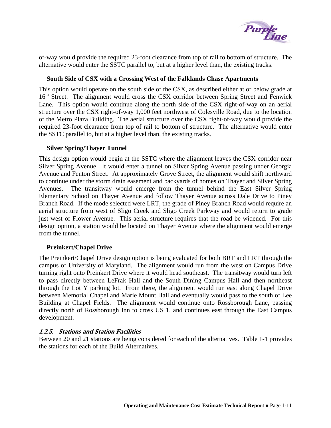

<span id="page-13-0"></span>of-way would provide the required 23-foot clearance from top of rail to bottom of structure. The alternative would enter the SSTC parallel to, but at a higher level than, the existing tracks.

#### **South Side of CSX with a Crossing West of the Falklands Chase Apartments**

This option would operate on the south side of the CSX, as described either at or below grade at 16<sup>th</sup> Street. The alignment would cross the CSX corridor between Spring Street and Fenwick Lane. This option would continue along the north side of the CSX right-of-way on an aerial structure over the CSX right-of-way 1,000 feet northwest of Colesville Road, due to the location of the Metro Plaza Building. The aerial structure over the CSX right-of-way would provide the required 23-foot clearance from top of rail to bottom of structure. The alternative would enter the SSTC parallel to, but at a higher level than, the existing tracks.

#### **Silver Spring/Thayer Tunnel**

This design option would begin at the SSTC where the alignment leaves the CSX corridor near Silver Spring Avenue. It would enter a tunnel on Silver Spring Avenue passing under Georgia Avenue and Fenton Street. At approximately Grove Street, the alignment would shift northward to continue under the storm drain easement and backyards of homes on Thayer and Silver Spring Avenues. The transitway would emerge from the tunnel behind the East Silver Spring Elementary School on Thayer Avenue and follow Thayer Avenue across Dale Drive to Piney Branch Road. If the mode selected were LRT, the grade of Piney Branch Road would require an aerial structure from west of Sligo Creek and Sligo Creek Parkway and would return to grade just west of Flower Avenue. This aerial structure requires that the road be widened. For this design option, a station would be located on Thayer Avenue where the alignment would emerge from the tunnel.

#### **Preinkert/Chapel Drive**

The Preinkert/Chapel Drive design option is being evaluated for both BRT and LRT through the campus of University of Maryland. The alignment would run from the west on Campus Drive turning right onto Preinkert Drive where it would head southeast. The transitway would turn left to pass directly between LeFrak Hall and the South Dining Campus Hall and then northeast through the Lot Y parking lot. From there, the alignment would run east along Chapel Drive between Memorial Chapel and Marie Mount Hall and eventually would pass to the south of Lee Building at Chapel Fields. The alignment would continue onto Rossborough Lane, passing directly north of Rossborough Inn to cross US 1, and continues east through the East Campus development.

#### **1.2.5. Stations and Station Facilities**

Between 20 and 21 stations are being considered for each of the alternatives. Table 1-1 provides the stations for each of the Build Alternatives.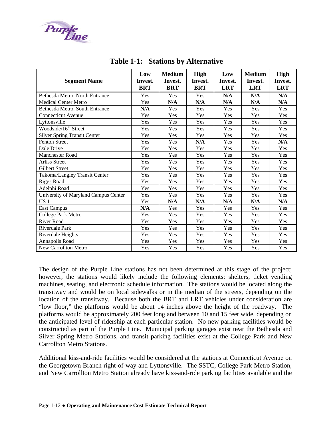<span id="page-14-0"></span>

| <b>Segment Name</b>                  | Low<br>Invest.<br><b>BRT</b> | <b>Medium</b><br>Invest.<br><b>BRT</b> | <b>High</b><br>Invest.<br><b>BRT</b> | Low<br>Invest.<br><b>LRT</b> | <b>Medium</b><br>Invest.<br><b>LRT</b> | <b>High</b><br>Invest.<br><b>LRT</b> |
|--------------------------------------|------------------------------|----------------------------------------|--------------------------------------|------------------------------|----------------------------------------|--------------------------------------|
| Bethesda Metro, North Entrance       | Yes                          | Yes                                    | Yes                                  | N/A                          | N/A                                    | N/A                                  |
| <b>Medical Center Metro</b>          | Yes                          | N/A                                    | N/A                                  | N/A                          | N/A                                    | N/A                                  |
| Bethesda Metro, South Entrance       | N/A                          | Yes                                    | Yes                                  | Yes                          | Yes                                    | Yes                                  |
| <b>Connecticut Avenue</b>            | Yes                          | Yes                                    | Yes                                  | Yes                          | Yes                                    | Yes                                  |
| Lyttonsville                         | Yes                          | Yes                                    | <b>Yes</b>                           | Yes                          | Yes                                    | Yes                                  |
| Woodside/16 <sup>th</sup> Street     | Yes                          | Yes                                    | Yes                                  | Yes                          | Yes                                    | Yes                                  |
| <b>Silver Spring Transit Center</b>  | Yes                          | Yes                                    | Yes                                  | Yes                          | Yes                                    | Yes                                  |
| <b>Fenton Street</b>                 | Yes                          | Yes                                    | N/A                                  | Yes                          | Yes                                    | N/A                                  |
| Dale Drive                           | Yes                          | Yes                                    | Yes                                  | Yes                          | Yes                                    | Yes                                  |
| Manchester Road                      | Yes                          | Yes                                    | Yes                                  | Yes                          | Yes                                    | Yes                                  |
| <b>Arliss Street</b>                 | Yes                          | Yes                                    | Yes                                  | Yes                          | Yes                                    | Yes                                  |
| <b>Gilbert Street</b>                | Yes                          | Yes                                    | Yes                                  | Yes                          | Yes                                    | <b>Yes</b>                           |
| Takoma/Langley Transit Center        | Yes                          | Yes                                    | Yes                                  | Yes                          | Yes                                    | Yes                                  |
| <b>Riggs Road</b>                    | Yes                          | Yes                                    | Yes                                  | Yes                          | Yes                                    | Yes                                  |
| Adelphi Road                         | Yes                          | Yes                                    | <b>Yes</b>                           | Yes                          | <b>Yes</b>                             | <b>Yes</b>                           |
| University of Maryland Campus Center | Yes                          | Yes                                    | Yes                                  | Yes                          | Yes                                    | Yes                                  |
| US <sub>1</sub>                      | Yes                          | N/A                                    | N/A                                  | N/A                          | N/A                                    | N/A                                  |
| <b>East Campus</b>                   | N/A                          | Yes                                    | Yes                                  | Yes                          | Yes                                    | Yes                                  |
| College Park Metro                   | Yes                          | Yes                                    | Yes                                  | Yes                          | Yes                                    | Yes                                  |
| <b>River Road</b>                    | Yes                          | Yes                                    | Yes                                  | Yes                          | Yes                                    | Yes                                  |
| Riverdale Park                       | Yes                          | Yes                                    | Yes                                  | Yes                          | Yes                                    | Yes                                  |
| Riverdale Heights                    | Yes                          | Yes                                    | Yes                                  | Yes                          | Yes                                    | Yes                                  |
| Annapolis Road                       | Yes                          | Yes                                    | Yes                                  | Yes                          | Yes                                    | Yes                                  |
| New Carrollton Metro                 | Yes                          | Yes                                    | Yes                                  | Yes                          | Yes                                    | Yes                                  |

### **Table 1-1: Stations by Alternative**

The design of the Purple Line stations has not been determined at this stage of the project; however, the stations would likely include the following elements: shelters, ticket vending machines, seating, and electronic schedule information. The stations would be located along the transitway and would be on local sidewalks or in the median of the streets, depending on the location of the transitway. Because both the BRT and LRT vehicles under consideration are "low floor," the platforms would be about 14 inches above the height of the roadway. The platforms would be approximately 200 feet long and between 10 and 15 feet wide, depending on the anticipated level of ridership at each particular station. No new parking facilities would be constructed as part of the Purple Line. Municipal parking garages exist near the Bethesda and Silver Spring Metro Stations, and transit parking facilities exist at the College Park and New Carrollton Metro Stations.

Additional kiss-and-ride facilities would be considered at the stations at Connecticut Avenue on the Georgetown Branch right-of-way and Lyttonsville. The SSTC, College Park Metro Station, and New Carrollton Metro Station already have kiss-and-ride parking facilities available and the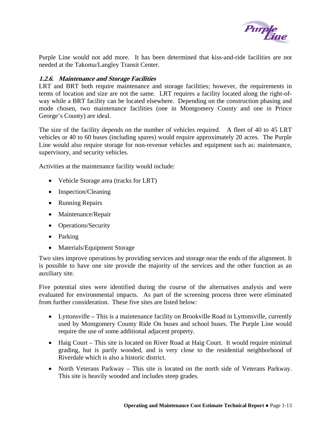

<span id="page-15-0"></span>Purple Line would not add more. It has been determined that kiss-and-ride facilities are not needed at the Takoma/Langley Transit Center.

### **1.2.6. Maintenance and Storage Facilities**

LRT and BRT both require maintenance and storage facilities; however, the requirements in terms of location and size are not the same. LRT requires a facility located along the right-ofway while a BRT facility can be located elsewhere. Depending on the construction phasing and mode chosen, two maintenance facilities (one in Montgomery County and one in Prince George's County) are ideal.

The size of the facility depends on the number of vehicles required. A fleet of 40 to 45 LRT vehicles or 40 to 60 buses (including spares) would require approximately 20 acres. The Purple Line would also require storage for non-revenue vehicles and equipment such as: maintenance, supervisory, and security vehicles.

Activities at the maintenance facility would include:

- Vehicle Storage area (tracks for LRT)
- Inspection/Cleaning
- Running Repairs
- Maintenance/Repair
- Operations/Security
- Parking
- Materials/Equipment Storage

Two sites improve operations by providing services and storage near the ends of the alignment. It is possible to have one site provide the majority of the services and the other function as an auxiliary site.

Five potential sites were identified during the course of the alternatives analysis and were evaluated for environmental impacts. As part of the screening process three were eliminated from further consideration. These five sites are listed below:

- Lyttonsville This is a maintenance facility on Brookville Road in Lyttonsville, currently used by Montgomery County Ride On buses and school buses. The Purple Line would require the use of some additional adjacent property.
- Haig Court This site is located on River Road at Haig Court. It would require minimal grading, but is partly wooded, and is very close to the residential neighborhood of Riverdale which is also a historic district.
- North Veterans Parkway This site is located on the north side of Veterans Parkway. This site is heavily wooded and includes steep grades.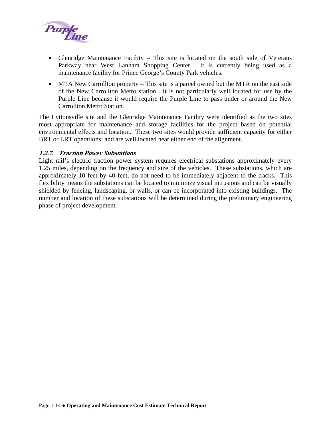<span id="page-16-0"></span>

- Glenridge Maintenance Facility This site is located on the south side of Veterans Parkway near West Lanham Shopping Center. It is currently being used as a maintenance facility for Prince George's County Park vehicles.
- MTA New Carrollton property This site is a parcel owned but the MTA on the east side of the New Carrollton Metro station. It is not particularly well located for use by the Purple Line because it would require the Purple Line to pass under or around the New Carrollton Metro Station.

The Lyttonsville site and the Glenridge Maintenance Facility were identified as the two sites most appropriate for maintenance and storage facilities for the project based on potential environmental effects and location. These two sites would provide sufficient capacity for either BRT or LRT operations; and are well located near either end of the alignment.

#### **1.2.7. Traction Power Substations**

Light rail's electric traction power system requires electrical substations approximately every 1.25 miles, depending on the frequency and size of the vehicles. These substations, which are approximately 10 feet by 40 feet, do not need to be immediately adjacent to the tracks. This flexibility means the substations can be located to minimize visual intrusions and can be visually shielded by fencing, landscaping, or walls, or can be incorporated into existing buildings. The number and location of these substations will be determined during the preliminary engineering phase of project development.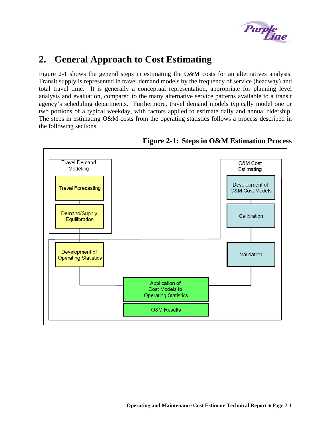

### <span id="page-17-0"></span>**2. General Approach to Cost Estimating**

Figure 2-1 shows the general steps in estimating the O&M costs for an alternatives analysis. Transit supply is represented in travel demand models by the frequency of service (headway) and total travel time. It is generally a conceptual representation, appropriate for planning level analysis and evaluation, compared to the many alternative service patterns available to a transit agency's scheduling departments. Furthermore, travel demand models typically model one or two portions of a typical weekday, with factors applied to estimate daily and annual ridership. The steps in estimating O&M costs from the operating statistics follows a process described in the following sections.



**Figure 2-1: Steps in O&M Estimation Process**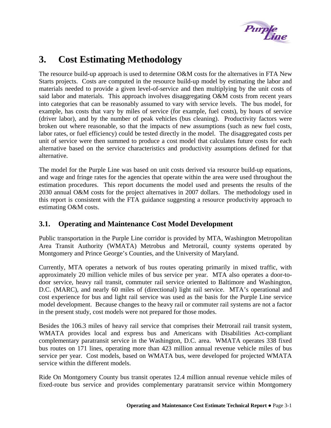

### <span id="page-18-0"></span>**3. Cost Estimating Methodology**

The resource build-up approach is used to determine O&M costs for the alternatives in FTA New Starts projects. Costs are computed in the resource build-up model by estimating the labor and materials needed to provide a given level-of-service and then multiplying by the unit costs of said labor and materials. This approach involves disaggregating O&M costs from recent years into categories that can be reasonably assumed to vary with service levels. The bus model, for example, has costs that vary by miles of service (for example, fuel costs), by hours of service (driver labor), and by the number of peak vehicles (bus cleaning). Productivity factors were broken out where reasonable, so that the impacts of new assumptions (such as new fuel costs, labor rates, or fuel efficiency) could be tested directly in the model. The disaggregated costs per unit of service were then summed to produce a cost model that calculates future costs for each alternative based on the service characteristics and productivity assumptions defined for that alternative.

The model for the Purple Line was based on unit costs derived via resource build-up equations, and wage and fringe rates for the agencies that operate within the area were used throughout the estimation procedures. This report documents the model used and presents the results of the 2030 annual O&M costs for the project alternatives in 2007 dollars. The methodology used in this report is consistent with the FTA guidance suggesting a resource productivity approach to estimating O&M costs.

### **3.1. Operating and Maintenance Cost Model Development**

Public transportation in the Purple Line corridor is provided by MTA, Washington Metropolitan Area Transit Authority (WMATA) Metrobus and Metrorail, county systems operated by Montgomery and Prince George's Counties, and the University of Maryland.

Currently, MTA operates a network of bus routes operating primarily in mixed traffic, with approximately 20 million vehicle miles of bus service per year. MTA also operates a door-todoor service, heavy rail transit, commuter rail service oriented to Baltimore and Washington, D.C. (MARC), and nearly 60 miles of (directional) light rail service. MTA's operational and cost experience for bus and light rail service was used as the basis for the Purple Line service model development. Because changes to the heavy rail or commuter rail systems are not a factor in the present study, cost models were not prepared for those modes.

Besides the 106.3 miles of heavy rail service that comprises their Metrorail rail transit system, WMATA provides local and express bus and Americans with Disabilities Act-compliant complementary paratransit service in the Washington, D.C. area. WMATA operates 338 fixed bus routes on 171 lines, operating more than 423 million annual revenue vehicle miles of bus service per year. Cost models, based on WMATA bus, were developed for projected WMATA service within the different models.

Ride On Montgomery County bus transit operates 12.4 million annual revenue vehicle miles of fixed-route bus service and provides complementary paratransit service within Montgomery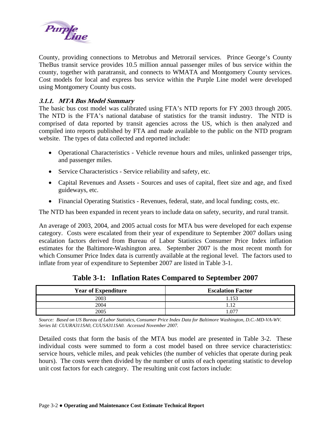<span id="page-19-0"></span>

County, providing connections to Metrobus and Metrorail services. Prince George's County TheBus transit service provides 10.5 million annual passenger miles of bus service within the county, together with paratransit, and connects to WMATA and Montgomery County services. Cost models for local and express bus service within the Purple Line model were developed using Montgomery County bus costs.

### **3.1.1. MTA Bus Model Summary**

The basic bus cost model was calibrated using FTA's NTD reports for FY 2003 through 2005. The NTD is the FTA's national database of statistics for the transit industry. The NTD is comprised of data reported by transit agencies across the US, which is then analyzed and compiled into reports published by FTA and made available to the public on the NTD program website. The types of data collected and reported include:

- Operational Characteristics Vehicle revenue hours and miles, unlinked passenger trips, and passenger miles.
- Service Characteristics Service reliability and safety, etc.
- Capital Revenues and Assets Sources and uses of capital, fleet size and age, and fixed guideways, etc.
- Financial Operating Statistics Revenues, federal, state, and local funding; costs, etc.

The NTD has been expanded in recent years to include data on safety, security, and rural transit.

An average of 2003, 2004, and 2005 actual costs for MTA bus were developed for each expense category. Costs were escalated from their year of expenditure to September 2007 dollars using escalation factors derived from Bureau of Labor Statistics Consumer Price Index inflation estimates for the Baltimore-Washington area. September 2007 is the most recent month for which Consumer Price Index data is currently available at the regional level. The factors used to inflate from year of expenditure to September 2007 are listed in Table 3-1.

**Table 3-1: Inflation Rates Compared to September 2007** 

| <b>Year of Expenditure</b> | <b>Escalation Factor</b> |
|----------------------------|--------------------------|
| 2003                       | 1.153                    |
| 2004                       |                          |
| 2005                       | 077                      |

*Source: Based on US Bureau of Labor Statistics, Consumer Price Index Data for Baltimore Washington, D.C.-MD-VA-WV. Series Id: CUURA311SA0, CUUSA311SA0. Accessed November 2007.* 

Detailed costs that form the basis of the MTA bus model are presented in Table 3-2. These individual costs were summed to form a cost model based on three service characteristics: service hours, vehicle miles, and peak vehicles (the number of vehicles that operate during peak hours). The costs were then divided by the number of units of each operating statistic to develop unit cost factors for each category. The resulting unit cost factors include: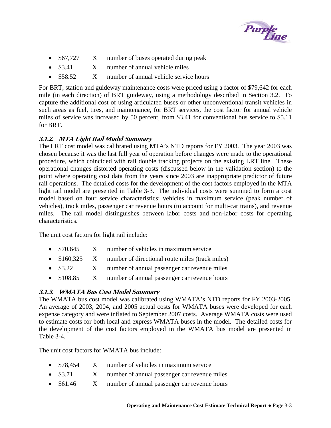

- <span id="page-20-0"></span>• \$67,727 X number of buses operated during peak
- $$3.41$  X number of annual vehicle miles
- \$58.52 X number of annual vehicle service hours

For BRT, station and guideway maintenance costs were priced using a factor of \$79,642 for each mile (in each direction) of BRT guideway, using a methodology described in Section 3.2. To capture the additional cost of using articulated buses or other unconventional transit vehicles in such areas as fuel, tires, and maintenance, for BRT services, the cost factor for annual vehicle miles of service was increased by 50 percent, from \$3.41 for conventional bus service to \$5.11 for BRT.

### **3.1.2. MTA Light Rail Model Summary**

The LRT cost model was calibrated using MTA's NTD reports for FY 2003. The year 2003 was chosen because it was the last full year of operation before changes were made to the operational procedure, which coincided with rail double tracking projects on the existing LRT line. These operational changes distorted operating costs (discussed below in the validation section) to the point where operating cost data from the years since 2003 are inappropriate predictor of future rail operations. The detailed costs for the development of the cost factors employed in the MTA light rail model are presented in Table 3-3. The individual costs were summed to form a cost model based on four service characteristics: vehicles in maximum service (peak number of vehicles), track miles, passenger car revenue hours (to account for multi-car trains), and revenue miles. The rail model distinguishes between labor costs and non-labor costs for operating characteristics.

The unit cost factors for light rail include:

- \$70,645 X number of vehicles in maximum service
- \$160,325 X number of directional route miles (track miles)
- \$3.22 X number of annual passenger car revenue miles
- \$108.85 X number of annual passenger car revenue hours

### **3.1.3. WMATA Bus Cost Model Summary**

The WMATA bus cost model was calibrated using WMATA's NTD reports for FY 2003-2005. An average of 2003, 2004, and 2005 actual costs for WMATA buses were developed for each expense category and were inflated to September 2007 costs. Average WMATA costs were used to estimate costs for both local and express WMATA buses in the model. The detailed costs for the development of the cost factors employed in the WMATA bus model are presented in Table 3-4.

The unit cost factors for WMATA bus include:

- \$78,454 X number of vehicles in maximum service
- \$3.71 X number of annual passenger car revenue miles
- \$61.46 X number of annual passenger car revenue hours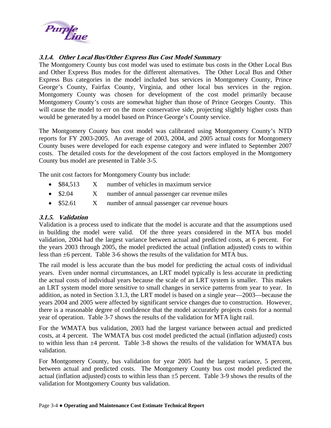<span id="page-21-0"></span>

### **3.1.4. Other Local Bus/Other Express Bus Cost Model Summary**

The Montgomery County bus cost model was used to estimate bus costs in the Other Local Bus and Other Express Bus modes for the different alternatives. The Other Local Bus and Other Express Bus categories in the model included bus services in Montgomery County, Prince George's County, Fairfax County, Virginia, and other local bus services in the region. Montgomery County was chosen for development of the cost model primarily because Montgomery County's costs are somewhat higher than those of Prince Georges County. This will cause the model to err on the more conservative side, projecting slightly higher costs than would be generated by a model based on Prince George's County service.

The Montgomery County bus cost model was calibrated using Montgomery County's NTD reports for FY 2003-2005. An average of 2003, 2004, and 2005 actual costs for Montgomery County buses were developed for each expense category and were inflated to September 2007 costs. The detailed costs for the development of the cost factors employed in the Montgomery County bus model are presented in Table 3-5.

The unit cost factors for Montgomery County bus include:

- \$84,513 X number of vehicles in maximum service
- \$2.04 X number of annual passenger car revenue miles
- \$52.61 X number of annual passenger car revenue hours

#### **3.1.5. Validation**

Validation is a process used to indicate that the model is accurate and that the assumptions used in building the model were valid. Of the three years considered in the MTA bus model validation, 2004 had the largest variance between actual and predicted costs, at 6 percent. For the years 2003 through 2005, the model predicted the actual (inflation adjusted) costs to within less than ±6 percent. Table 3-6 shows the results of the validation for MTA bus.

The rail model is less accurate than the bus model for predicting the actual costs of individual years. Even under normal circumstances, an LRT model typically is less accurate in predicting the actual costs of individual years because the scale of an LRT system is smaller. This makes an LRT system model more sensitive to small changes in service patterns from year to year. In addition, as noted in Section 3.1.3, the LRT model is based on a single year—2003—because the years 2004 and 2005 were affected by significant service changes due to construction. However, there is a reasonable degree of confidence that the model accurately projects costs for a normal year of operation. Table 3-7 shows the results of the validation for MTA light rail.

For the WMATA bus validation, 2003 had the largest variance between actual and predicted costs, at 4 percent. The WMATA bus cost model predicted the actual (inflation adjusted) costs to within less than ±4 percent. Table 3-8 shows the results of the validation for WMATA bus validation.

For Montgomery County, bus validation for year 2005 had the largest variance, 5 percent, between actual and predicted costs. The Montgomery County bus cost model predicted the actual (inflation adjusted) costs to within less than  $\pm 5$  percent. Table 3-9 shows the results of the validation for Montgomery County bus validation.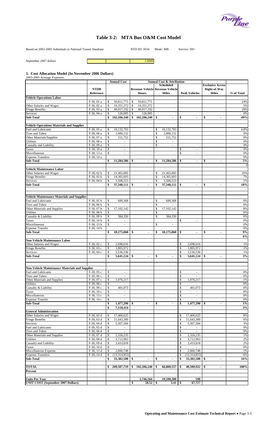**Operating and Maintenance Cost Estimate Technical Report** ● Page 3-5

*Purple* 

### **Table 3-2: MTA Bus O&M Cost Model**

<span id="page-22-0"></span>Based on 2003-2005 Submittals to National Transit Database NTD ID: 3034 Mode: MB Service: DO

September 2007 dollars 1.0000

### **1. Cost Allocation Model (In November 2006 Dollars)**

2003-2005 Average Expenses

|                                                       |                             |                          | <b>Annual Cost</b>       |                            |                                        |                 | <b>Annual Cost &amp; Attribution</b> |              |                          |                                |                |
|-------------------------------------------------------|-----------------------------|--------------------------|--------------------------|----------------------------|----------------------------------------|-----------------|--------------------------------------|--------------|--------------------------|--------------------------------|----------------|
|                                                       |                             |                          |                          |                            |                                        |                 | <b>Scheduled</b>                     |              |                          | <b>Exclusive Access</b>        |                |
|                                                       | <b>NTDB</b>                 |                          |                          |                            | <b>Revenue-Vehicle Revenue-Vehicle</b> |                 |                                      |              |                          | Right-of-Way                   |                |
|                                                       | <b>Reference</b>            |                          |                          |                            | <b>Hours</b>                           |                 | <b>Miles</b>                         |              | <b>Peak Vehicles</b>     | <b>Miles</b>                   | % of Total     |
| <b>Vehicle Operations Labor</b>                       |                             |                          |                          |                            |                                        |                 |                                      |              |                          |                                |                |
|                                                       | F-30, 01 a<br>$F-30$ , 02 a | \$<br>\$                 | 50,811,771<br>10,351,272 | $\sqrt{S}$<br>$\mathbf{e}$ | 50,811,771<br>10,351,272               |                 |                                      |              |                          |                                | 24%<br>5%      |
| Other Salaries and Wages<br>Fringe Benefits           | F-30, 03 a                  | \$                       | 40,917,192               | <sup>\$</sup>              | 40,917,192                             |                 |                                      |              |                          |                                | 20%            |
| Services                                              | F-30, 04 a                  | \$                       | 126,005                  | $\overline{\mathcal{S}}$   | 126,005                                |                 |                                      |              |                          |                                | 0%             |
| <b>Sub-Total</b>                                      |                             |                          | $\overline{102,206,240}$ |                            | $\overline{102,206,240}$               |                 |                                      |              |                          |                                | 49%            |
|                                                       |                             |                          |                          | \$                         |                                        | \$              | $\blacksquare$                       | \$           | $\blacksquare$           | \$<br>$\blacksquare$           |                |
|                                                       |                             |                          |                          |                            |                                        |                 |                                      |              |                          |                                |                |
| <b>Vehicle Operations Materials and Supplies</b>      |                             |                          |                          |                            |                                        |                 |                                      |              |                          |                                |                |
| <b>Fuel and Lubricants</b>                            | F-30, 05 a                  | \$                       | 10,132,703               |                            |                                        | \$              | 10,132,703                           |              |                          |                                | 4.8%           |
| Tires and Tubes                                       | F-30, 06 a                  | \$                       | 1,000,131                |                            |                                        | \$              | 1,000,131                            |              |                          |                                | 0%             |
| Other Materials/Supplies                              | F-30, 07 a                  | \$                       | 151,752                  |                            |                                        | \$              | 151,752                              |              |                          |                                | 0%             |
| <b>Utilities</b>                                      | F-30, 08 a                  | \$                       |                          |                            |                                        | $\overline{\$}$ |                                      |              |                          |                                | 0%             |
| Casualty and Liability                                | F-30, 09 a                  | \$                       |                          |                            |                                        | \$              |                                      |              |                          |                                | $0\%$          |
| Taxes                                                 | $F-30$ , 10 a               | $\overline{\mathcal{S}}$ |                          |                            |                                        |                 |                                      | \$           | $\overline{\phantom{a}}$ |                                | 0%             |
| Miscellaneous                                         | F-30, 13 a                  | \$                       |                          |                            |                                        |                 |                                      | $\mathbb{S}$ | $\overline{\phantom{a}}$ |                                | $0\%$          |
| <b>Expense Transfers</b>                              | F-30, 14 a                  |                          |                          |                            |                                        |                 |                                      |              |                          |                                | 0%             |
| <b>Sub-Total</b>                                      |                             | \$                       | 11,284,586               | \$                         | $\blacksquare$                         | \$              | 11,284,586                           | \$           | $\blacksquare$           | \$<br>$\blacksquare$           | 5%             |
|                                                       |                             |                          |                          |                            |                                        |                 |                                      |              |                          |                                | $\Omega$       |
| <b>Vehicle Maintenance Labor</b>                      |                             |                          |                          |                            |                                        |                 |                                      |              |                          |                                |                |
| Other Salaries and Wages                              | $F-30$ , 02 b               | \$                       | 21,465,895               |                            |                                        | \$              | 21,465,895                           |              |                          |                                | 10%            |
| <b>Fringe Benefits</b>                                | F-30, 03 b                  | \$                       | 14,365,693               |                            |                                        | $\mathbb{S}$    | 14,365,693                           |              |                          |                                | 7%             |
| Services                                              | F-30, 04 b                  | \$                       | 1,508,523                |                            |                                        | $\mathbb{S}$    | 1,508,523                            |              |                          |                                | 1%             |
| <b>Sub-Total</b>                                      |                             | \$                       | 37,340,111               | \$                         |                                        | \$              | 37,340,111                           | \$           | $\blacksquare$           | \$<br>$\overline{\phantom{a}}$ | 18%            |
|                                                       |                             |                          |                          |                            |                                        |                 |                                      |              |                          |                                |                |
|                                                       |                             |                          |                          |                            |                                        |                 |                                      |              |                          |                                |                |
| <b>Vehicle Maintenance Materials and Supplies</b>     |                             |                          |                          |                            |                                        |                 |                                      |              |                          |                                |                |
| <b>Fuel and Lubricants</b>                            | $F-30$ , 05 b               | \$                       | 689,368                  |                            |                                        | \$              | 689,368                              |              |                          |                                | $0\%$          |
| Tires and Tubes                                       | F-30, 06 b                  | \$                       |                          |                            |                                        | \$              |                                      |              |                          |                                | 0%             |
| Other Materials and Supplies                          | F-30, 07 b                  | \$                       | 17,102,142               |                            |                                        | \$              | 17,102,142                           |              |                          |                                | 8%             |
| <b>Utilities</b>                                      | $F-30,08b$                  | $\overline{\mathcal{S}}$ |                          |                            |                                        | $\overline{\$}$ |                                      |              |                          |                                | 0%             |
| Casualty & Liability                                  | $F-30,09b$                  | \$                       | 384,350                  |                            |                                        | \$              | 384,350                              |              |                          |                                | $0\%$          |
| <b>Taxes</b>                                          | $F-30$ , 10 b               | $\overline{\mathcal{S}}$ |                          |                            |                                        |                 |                                      | \$           |                          |                                | $0\%$          |
| Miscellaneous                                         | $F-30$ , 13 b               | $\mathbb{S}$             | $\overline{\phantom{a}}$ |                            |                                        | \$              | $\overline{\phantom{a}}$             |              |                          |                                | $0\%$          |
| <b>Expense Transfer</b>                               | F-30, 14 b                  |                          |                          |                            |                                        |                 |                                      |              |                          |                                | 0%             |
| <b>Sub-Total</b>                                      |                             | \$                       | 18,175,860               | \$                         | $\blacksquare$                         | \$              | 18,175,860                           | \$           | $\blacksquare$           | \$<br>$\blacksquare$           | 9%             |
|                                                       |                             |                          |                          |                            |                                        |                 |                                      |              |                          |                                | 0%             |
| <b>Non-Vehicle Maintenance Labor</b>                  |                             |                          |                          |                            |                                        |                 |                                      |              |                          |                                |                |
| Other Salaries and Wages                              | F-30, 02 c                  | \$                       | 2,698,616                |                            |                                        |                 |                                      | \$           | 2,698,616                |                                | 1%             |
| <b>Fringe Benefits</b>                                | $F-30,03c$                  | \$                       | 1,805,972                |                            |                                        |                 |                                      | \$           | 1,805,972                |                                | 1%             |
| Services                                              | F-30, 04 c                  | \$                       | 1,136,536                |                            |                                        |                 |                                      | \$           | 1,136,536                |                                | $1\%$          |
| Sub-Total                                             |                             | \$                       | 5,641,124                | \$                         | $\blacksquare$                         | \$              | $\blacksquare$                       | \$           | 5,641,124                | \$<br>$\blacksquare$           | 3%             |
|                                                       |                             |                          |                          |                            |                                        |                 |                                      |              |                          |                                |                |
|                                                       |                             |                          |                          |                            |                                        |                 |                                      |              |                          |                                |                |
| <b>Non-Vehicle Maintenance Materials and Supplies</b> |                             |                          |                          |                            |                                        |                 |                                      |              |                          |                                |                |
| <b>Fuel and Lubricants</b>                            | $F-30.05c$                  | \$                       |                          |                            |                                        |                 |                                      | \$           |                          |                                |                |
| Tires and Tubes                                       |                             | \$                       |                          |                            |                                        |                 |                                      | \$           | $\overline{\phantom{a}}$ |                                | $0\%$<br>$0\%$ |
|                                                       | $F-30,06c$                  |                          |                          |                            |                                        |                 |                                      |              |                          |                                |                |
| Other Materials and Supplies                          | F-30, 07 c                  | \$                       | 1,076,217                |                            |                                        |                 |                                      | \$           | 1,076,217                |                                | 1%             |
| <b>Utilities</b>                                      | F-30, 08 c                  | \$                       |                          |                            |                                        |                 |                                      | \$           |                          |                                | $0\%$          |
| Casualty & Liability                                  | F-30, 09 c                  | \$                       | 401,073                  |                            |                                        |                 |                                      | \$           | 401,073                  |                                | $0\%$          |
| <b>Taxes</b>                                          | F-30, 10 c                  | \$                       |                          |                            |                                        |                 |                                      | \$           |                          |                                | $0\%$          |
| Miscellaneous                                         | F-30, 13 c                  | $\mathbb{S}$             | $\overline{\phantom{a}}$ |                            |                                        |                 |                                      | $\mathbb{S}$ | $\overline{\phantom{a}}$ |                                | $0\%$          |
| <b>Expense Transfer</b>                               | F-30, 14 c                  | \$                       | $\overline{\phantom{a}}$ |                            |                                        |                 |                                      | \$           |                          |                                | $0\%$          |
| <b>Sub-Total</b>                                      |                             | \$                       | 1,477,290                | \$                         |                                        | \$              |                                      | \$           | 1,477,290                | \$                             | 1%             |
|                                                       |                             | \$                       | 7,118,414                |                            |                                        |                 |                                      |              |                          |                                | 3%             |
| <b>General Administration</b>                         |                             |                          |                          |                            |                                        |                 |                                      |              |                          |                                |                |
| Other Salaries and Wages                              | F-30, 02 d                  | \$                       | 17,406,625               |                            |                                        |                 |                                      | \$           | 17,406,625               |                                | $8\%$          |
| <b>Fringe Benefits</b>                                | F-30, 03 d                  | \$                       | 11,643,389               |                            |                                        |                 |                                      | \$           | 11,643,389               |                                | 6%             |
| Services                                              | F-30, 04 d                  | \$                       | 5,507,584                |                            |                                        |                 |                                      | \$           | 5,507,584                |                                | 3%             |
| <b>Fuel and Lubricants</b>                            | F-30, 05 d                  | \$                       | $\blacksquare$           |                            |                                        |                 |                                      | \$           |                          |                                | $0\%$          |
| Tires and Tubes                                       | F-30, 06 d                  | \$                       | $\overline{\phantom{a}}$ |                            |                                        |                 |                                      | $\mathbb{S}$ | $\overline{a}$           |                                | $0\%$          |
| Other Materials and Supplies                          | F-30, 07 d                  | \$                       | 2,326,235                |                            |                                        |                 |                                      | \$           | 2,326,235                |                                | 1%             |
| <b>Utilities</b>                                      | F-30, 08 d                  | \$                       | 3,712,963                |                            |                                        |                 |                                      | \$           | 3,712,963                |                                | 2%             |
| Casualty and Liability                                | F-30, 09 d                  | \$                       | 3,433,818                |                            |                                        |                 |                                      | \$           | 3,433,818                |                                | 2%             |
| <b>Taxes</b>                                          | F-30, 10 d                  | \$                       |                          |                            |                                        |                 |                                      | $\mathbb{S}$ |                          |                                | $0\%$          |
| Miscellaneous Expense                                 | F-30, 13 d                  | \$                       | 2,666,748                |                            |                                        |                 |                                      | \$           | 2,666,748                |                                | 1%             |
| <b>Expense Transfers</b>                              | F-30, 14 d                  | \$                       | (13,314,853)             |                            |                                        |                 |                                      | $\mathbb{S}$ | (13,314,853)             |                                | $-6%$          |
| <b>Sub-Total</b>                                      |                             | \$                       | 33,382,508               | \$                         | $\blacksquare$                         | \$              | $\blacksquare$                       | \$           | 33,382,508               | \$<br>$\blacksquare$           | 16%            |
|                                                       |                             |                          |                          |                            |                                        |                 |                                      |              |                          |                                |                |
| <b>TOTAL</b>                                          |                             |                          | \$209,507,719            |                            | \$102,206,240                          | \$              | 66,800,557                           | \$           | 40,500,922               | \$<br>$\blacksquare$           | 100%           |
| Percent                                               |                             |                          |                          |                            |                                        |                 |                                      |              |                          |                                |                |
|                                                       |                             |                          |                          |                            |                                        |                 |                                      |              |                          |                                |                |
| <b>Units Per Year</b>                                 |                             |                          |                          |                            | 1,746,564                              |                 | 19,590,300                           |              | 598                      |                                |                |
| <b>UNIT COST (September 2007 Dollars)</b>             |                             |                          |                          | \$                         | $58.52$ \$                             |                 | $3.41 \overline{\smash{\big)}\}$     |              | 67,727                   |                                |                |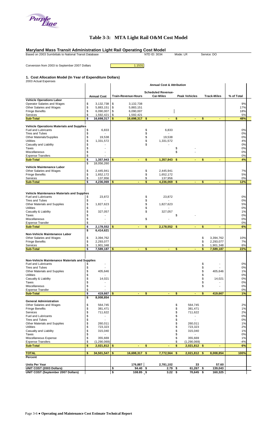Page 3-6 ● **Operating and Maintenance Cost Estimate Technical Report** 

<span id="page-23-0"></span>

### **Table 3-3: MTA Light Rail O&M Cost Model**

#### **Maryland Mass Transit Administration Light Rail Operating Cost Model**

Based on 2003 Sumbittals to National Transit Database NTL NTD ID: 3034 Mode: LR Service: DO

Conversion from 2003 to September 2007 Dollars 1.1531

#### **1. Cost Allocation Model (In Year of Expenditure Dollars)**

2003 Actual Expenses

|                                                                              |                                      |                        |                                    |          | <b>Annual Cost &amp; Attribution</b> |               |                      |                                |                |
|------------------------------------------------------------------------------|--------------------------------------|------------------------|------------------------------------|----------|--------------------------------------|---------------|----------------------|--------------------------------|----------------|
|                                                                              |                                      |                        |                                    |          | <b>Scheduled Revenue-</b>            |               |                      |                                |                |
|                                                                              |                                      | <b>Annual Cost</b>     | <b>Train-Revenue-Hours</b>         |          | <b>Car-Miles</b>                     |               | <b>Peak Vehicles</b> | <b>Track-Miles</b>             | % of Total     |
| <b>Vehicle Operations Labor</b>                                              |                                      |                        |                                    |          |                                      |               |                      |                                |                |
| Operator Salaries and Wages<br>Other Salaries and Wages                      | \$                                   | 3,132,738              | 3,132,738<br>\$                    |          |                                      |               |                      |                                | 9%<br>17%      |
| <b>Fringe Benefits</b>                                                       | \$<br>\$                             | 5,883,151<br>6,090,007 | \$<br>5,883,151<br>\$<br>6,090,007 |          |                                      |               |                      |                                | 18%            |
| Services                                                                     | \$                                   | 1,592,421              | 1,592,421<br>\$                    |          |                                      |               |                      |                                | 5%             |
| <b>Sub-Total</b>                                                             | $\overline{\$}$                      | 16,698,317             | \$<br>16,698,317 \$                |          |                                      | \$            | ٠                    | \$<br>$\blacksquare$           | 48%            |
|                                                                              |                                      |                        |                                    |          |                                      |               |                      |                                |                |
| <b>Vehicle Operations Materials and Supplies</b>                             |                                      |                        |                                    |          |                                      |               |                      |                                |                |
| <b>Fuel and Lubricants</b>                                                   | \$                                   | 6,833                  |                                    | \$       | 6,833                                |               |                      |                                | 0%             |
| <b>Tires and Tubes</b>                                                       | \$                                   |                        |                                    | \$       |                                      |               |                      |                                | $0\%$          |
| <b>Other Materials/Supplies</b>                                              | \$                                   | 19,538                 |                                    | \$       | 19,538                               |               |                      |                                | $0\%$          |
| <b>Utilities</b><br>Casualty and Liability                                   | \$<br>\$                             | 1,331,572              |                                    | \$<br>\$ | 1,331,572                            |               |                      |                                | $4\%$<br>$0\%$ |
| Taxes                                                                        | \$                                   |                        |                                    |          |                                      | \$            |                      |                                | $0\%$          |
| Miscellaneous                                                                | \$                                   |                        |                                    |          |                                      | \$            |                      |                                | $0\%$          |
| <b>Expense Transfers</b>                                                     | \$                                   |                        |                                    |          |                                      |               |                      |                                | $0\%$          |
| <b>Sub-Total</b>                                                             | $\overline{\$}$                      | 1,357,943              | \$<br>$\blacksquare$               | \$       | 1,357,943                            | \$            |                      | \$<br>$\blacksquare$           | 4%             |
|                                                                              | \$                                   | 18,056,260             |                                    |          |                                      |               |                      |                                |                |
| <b>Vehicle Maintenance Labor</b>                                             |                                      |                        |                                    |          |                                      |               |                      |                                |                |
| Other Salaries and Wages                                                     | \$<br>\$                             | 2,445,941              |                                    | \$<br>\$ | 2,445,941                            |               |                      |                                | 7%<br>5%       |
| <b>Fringe Benefits</b><br>Services                                           | \$                                   | 1,652,172<br>137,956   |                                    | \$       | 1,652,172<br>137,956                 |               |                      |                                | 0%             |
| <b>Sub-Total</b>                                                             | \$                                   | 4,236,069              | \$                                 | \$       | 4,236,069 \$                         |               | ٠                    | \$<br>$\blacksquare$           | 12%            |
|                                                                              |                                      |                        |                                    |          |                                      |               |                      |                                |                |
|                                                                              |                                      |                        |                                    |          |                                      |               |                      |                                |                |
| <b>Vehicle Maintenance Materials and Supplies</b>                            |                                      |                        |                                    |          |                                      |               |                      |                                |                |
| <b>Fuel and Lubricants</b>                                                   | \$                                   | 23,872                 |                                    | \$       | 23,872                               |               |                      |                                | 0%             |
| Tires and Tubes                                                              | \$                                   |                        |                                    | \$       |                                      |               |                      |                                | 0%             |
| Other Materials and Supplies<br><b>Utilities</b>                             | \$<br>\$                             | 1,827,623              |                                    | \$<br>\$ | 1,827,623                            |               |                      |                                | 5%<br>$0\%$    |
| Casualty & Liability                                                         | \$                                   | 327,057                |                                    | \$       | 327,057                              |               |                      |                                | 1%             |
| Taxes                                                                        | \$                                   |                        |                                    |          |                                      | \$            |                      |                                | 0%             |
| Miscellaneous                                                                | \$                                   |                        |                                    | \$       |                                      |               |                      |                                | $0\%$          |
| <b>Expense Transfer</b>                                                      | \$                                   |                        |                                    |          |                                      |               |                      |                                | 0%             |
| <b>Sub-Total</b>                                                             | \$                                   | 2,178,552              | \$<br>۰                            | \$       | 2,178,552                            | $\frac{1}{2}$ | $\blacksquare$       | \$<br>$\blacksquare$           | 6%             |
| <b>Non-Vehicle Maintenance Labor</b>                                         | \$                                   | 6,414,621              |                                    |          |                                      |               |                      |                                |                |
| Other Salaries and Wages                                                     | \$                                   | 3,394,762              |                                    |          |                                      |               |                      | \$<br>3,394,762                | 10%            |
| <b>Fringe Benefits</b>                                                       | \$                                   | 2,293,077              |                                    |          |                                      |               |                      | \$<br>2,293,077                | 7%             |
| Services                                                                     | \$                                   | 1,901,348              |                                    |          |                                      |               |                      | \$<br>1,901,348                | 6%             |
| <b>Sub-Total</b>                                                             | \$                                   | 7,589,187              | $\vert$ \$<br>٠                    | \$       | ٠                                    | \$            |                      | \$<br>7,589,187                | 22%            |
|                                                                              |                                      |                        |                                    |          |                                      |               |                      |                                |                |
|                                                                              |                                      |                        |                                    |          |                                      |               |                      |                                |                |
| Non-Vehicle Maintenance Materials and Supplies<br><b>Fuel and Lubricants</b> |                                      |                        |                                    |          |                                      |               |                      | \$<br>$\overline{\phantom{a}}$ | $0\%$          |
| Tires and Tubes                                                              | \$                                   |                        |                                    |          |                                      |               |                      | \$                             | $0\%$          |
| Other Materials and Supplies                                                 | \$                                   | 405,646                |                                    |          |                                      |               |                      | \$<br>405,646                  | 1%             |
| <b>Utilities</b>                                                             | \$                                   |                        |                                    |          |                                      |               |                      | \$                             | $0\%$          |
| Casualty & Liability                                                         | \$                                   | 14,021                 |                                    |          |                                      |               |                      | \$<br>14,021                   | 0%             |
| Taxes                                                                        | \$                                   |                        |                                    |          |                                      |               |                      | \$                             | 0%             |
| Miscellaneous                                                                | \$                                   |                        |                                    |          |                                      |               |                      | \$                             | $0\%$          |
| <b>Expense Transfer</b>                                                      | \$                                   |                        |                                    |          |                                      |               |                      |                                | 0%             |
| <b>Sub-Total</b>                                                             | \$                                   | 419,667                | \$<br>٠                            | \$       | ٠                                    | \$            | ٠                    | \$<br>419,667                  | 1%             |
| <b>General Administration</b>                                                | \$                                   | 8,008,854              |                                    |          |                                      |               |                      |                                |                |
| Other Salaries and Wages                                                     | \$                                   | 564,745                |                                    |          |                                      | \$            | 564,745              |                                | 2%             |
| <b>Fringe Benefits</b>                                                       | \$                                   | 381,471                |                                    |          |                                      | \$            | 381,471              |                                | 1%             |
| Services                                                                     | \$                                   | 711,622                |                                    |          |                                      | \$            | 711,622              |                                | 2%             |
| <b>Fuel and Lubricants</b>                                                   | \$                                   |                        |                                    |          |                                      | \$            |                      |                                | 0%             |
| Tires and Tubes                                                              | \$                                   |                        |                                    |          |                                      | \$            |                      |                                | 0%             |
| Other Materials and Supplies                                                 | \$                                   | 260,011                |                                    |          |                                      | \$            | 260,011              |                                | 1%             |
| <b>Utilities</b>                                                             | \$                                   | 723,323                |                                    |          |                                      | \$            | 723,323              |                                | 2%             |
| Casualty and Liability<br><b>Taxes</b>                                       | \$<br>\$                             | 315,040                |                                    |          |                                      | \$<br>\$      | 315,040              |                                | 1%<br>0%       |
| Miscellaneous Expense                                                        | \$                                   | 355,669                |                                    |          |                                      | \$            | 355,669              |                                | 1%             |
| <b>Expense Transfers</b>                                                     | \$                                   | (1, 290, 069)          |                                    |          |                                      | \$            | (1, 290, 069)        |                                | $-4%$          |
| <b>Sub-Total</b>                                                             | $\overline{\boldsymbol{\mathsf{s}}}$ | $2,021,812$ \$         | ٠                                  | \$       |                                      | \$            | 2,021,812 \$         | ٠                              | 6%             |
|                                                                              |                                      |                        |                                    |          |                                      |               |                      |                                |                |
| <b>TOTAL</b><br>Percent                                                      | \$                                   | 34,501,547             | \$<br>16,698,317 \$                |          | 7,772,564                            | $\sqrt[6]{3}$ | $2,021,812$ \$       | 8,008,854                      | 100%           |
|                                                                              |                                      |                        |                                    |          |                                      |               |                      |                                |                |
| <b>Units Per Year</b>                                                        |                                      |                        | 176,887                            |          | 2,781,102                            |               | 33                   | 57.60                          |                |
| <b>UNIT COST (2003 Dollars)</b>                                              |                                      |                        | \$<br>94.40 \$                     |          | $2.79$ \$                            |               | 61,267 \$            | 139,043                        |                |
| <b>UNIT COST (September 2007 Dollars)</b>                                    |                                      |                        | $\overline{\$}$<br>108.85 \$       |          | $3.\overline{22}$ \$                 |               | $70,645$ \$          | 160,325                        |                |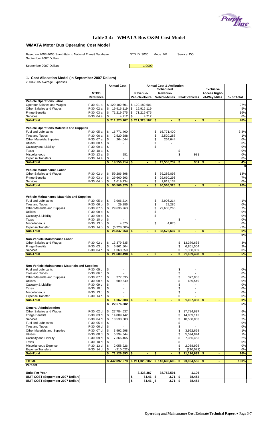**Operating and Maintenance Cost Estimate Technical Report** ● Page 3-7



### **Table 3-4: WMATA Bus O&M Cost Model**

### <span id="page-24-0"></span>**WMATA Motor Bus Operating Cost Model**

Based on 2003-2005 Sumbittals to National Transit Database NTD ID: 3030 Mode: MB Service: DO September 2007 Dollars

September 2007 Dollars 1.0000 and 1.0000 and 1.0000 and 1.0000 and 1.0000 and 1.0000 and 1.0000 and 1.0000 and 1.0000 and 1.0000 and 1.0000 and 1.0000 and 1.0000 and 1.0000 and 1.0000 and 1.0000 and 1.0000 and 1.0000 and 1

### **1. Cost Allocation Model (In September 2007 Dollars)**

2003-2005 Average Expenses

|                                                                                        |                          |          | <b>Annual Cost</b>               |                            |                            |          | <b>Annual Cost &amp; Attribution</b> |          |                  |               |                                          |             |                |
|----------------------------------------------------------------------------------------|--------------------------|----------|----------------------------------|----------------------------|----------------------------|----------|--------------------------------------|----------|------------------|---------------|------------------------------------------|-------------|----------------|
|                                                                                        | <b>NTDB</b>              |          |                                  |                            | Revenue-                   |          | <b>Scheduled</b><br>Revenue-         |          |                  |               | <b>Exclusive</b><br><b>Access Right-</b> |             |                |
|                                                                                        | Reference                |          |                                  |                            | <b>Vehicle-Hours</b>       |          | Vehicle-Miles Peak Vehicles          |          |                  |               | of-Way Miles                             | % of Total  |                |
| <b>Vehicle Operations Labor</b>                                                        |                          |          |                                  |                            |                            |          |                                      |          |                  |               |                                          |             |                |
| <b>Operator Salaries and Wages</b>                                                     | F-30, 01 a               |          | \$120,182,601                    | \$120,182,601              |                            |          |                                      |          |                  |               |                                          | 27%         |                |
| Other Salaries and Wages                                                               | F-30, 02 a               | \$       | 19,916,119                       | \$                         | 19,916,119                 |          |                                      |          |                  |               |                                          |             | 5%             |
| <b>Fringe Benefits</b>                                                                 | F-30, 03 a<br>F-30, 04 a | \$<br>\$ | 71,219,675<br>4,712              | $\sqrt[6]{2}$<br>\$        | 71,219,675                 |          |                                      |          |                  |               |                                          | 16%<br>0%   |                |
| Services<br><b>Sub-Total</b>                                                           |                          |          | \$211,323,107                    |                            | 4,712<br>$$211,323,107$ \$ |          |                                      | \$       |                  | \$            |                                          | 48%         |                |
|                                                                                        |                          |          |                                  |                            |                            |          |                                      |          |                  |               |                                          |             |                |
| <b>Vehicle Operations Materials and Supplies</b>                                       |                          |          |                                  |                            |                            |          |                                      |          |                  |               |                                          |             |                |
| <b>Fuel and Lubricants</b>                                                             | F-30, 05 a               | \$       | 16,771,400                       |                            |                            | \$       | 16,771,400                           |          |                  |               |                                          | 3.8%        |                |
| <b>Tires and Tubes</b>                                                                 | F-30, 06 a               | \$       | 2,520,288                        |                            |                            | \$       | 2,520,288                            |          |                  |               |                                          |             | 1%             |
| <b>Other Materials/Supplies</b><br><b>Utilities</b>                                    | F-30, 07 a<br>F-30, 08 a | \$<br>\$ | 264,044                          |                            |                            | \$<br>\$ | 264,044                              |          |                  |               |                                          |             | 0%<br>0%       |
| Casualty and Liability                                                                 | F-30, 09 a               | \$       |                                  |                            |                            | \$       |                                      |          |                  |               |                                          |             | $0\%$          |
| <b>Taxes</b>                                                                           | F-30, 10 a               | \$       | $\overline{\phantom{a}}$         |                            |                            |          |                                      | \$       |                  |               |                                          |             | 0%             |
| Miscellaneous                                                                          | F-30, 13 a               | \$       | 981                              |                            |                            |          |                                      | \$       | 981              |               |                                          |             | 0%             |
| <b>Expense Transfers</b>                                                               | F-30, 14 a               | \$       |                                  |                            |                            |          |                                      |          |                  |               |                                          |             | 0%             |
| <b>Sub-Total</b>                                                                       |                          | \$       | 19,556,714                       | $\frac{2}{3}$              |                            | \$       | 19,555,732                           | -\$      | 981              | $\sqrt[6]{3}$ |                                          |             | 4%<br>$\Omega$ |
| <b>Vehicle Maintenance Labor</b>                                                       |                          |          |                                  |                            |                            |          |                                      |          |                  |               |                                          |             |                |
| Other Salaries and Wages                                                               | F-30, 02 b               | \$       | 59,286,898                       |                            |                            |          | 59,286,898                           |          |                  |               |                                          | 13%         |                |
| <b>Fringe Benefits</b>                                                                 | F-30, 03 b               | \$       | 29,660,293                       |                            |                            | \$       | 29,660,293                           |          |                  |               |                                          |             | 7%             |
| Services                                                                               | F-30, 04 b               | \$       | 1,619,134                        |                            |                            | \$       | 1,619,134                            |          |                  |               |                                          |             | 0%             |
| <b>Sub-Total</b>                                                                       |                          |          | $90,566,325$ \$                  |                            |                            | \$       | 90,566,325 \$                        |          |                  | \$            |                                          | 20%         |                |
|                                                                                        |                          |          |                                  |                            |                            |          |                                      |          |                  |               |                                          |             |                |
| <b>Vehicle Maintenance Materials and Supplies</b>                                      |                          |          |                                  |                            |                            |          |                                      |          |                  |               |                                          |             |                |
| <b>Fuel and Lubricants</b>                                                             | F-30, 05 b               | \$       | 3,906,214                        |                            |                            | \$       | 3,906,214                            |          |                  |               |                                          |             | 1%             |
| <b>Tires and Tubes</b>                                                                 | F-30, 06 b               | \$       | 29,286                           |                            |                            | \$       | 29,286                               |          |                  |               |                                          |             | $0\%$          |
| Other Materials and Supplies                                                           | F-30, 07 b               | \$       | 29,636,263                       |                            |                            | \$       | 29,636,263                           |          |                  |               |                                          |             | 7%             |
| <b>Utilities</b>                                                                       | F-30, 08 b               | \$       |                                  |                            |                            | \$       |                                      |          |                  |               |                                          |             | $0\%$          |
| Casualty & Liability                                                                   | F-30, 09 b               | \$       |                                  |                            |                            | \$       |                                      |          |                  |               |                                          |             | 0%             |
| Taxes                                                                                  | F-30, 10 b               | \$       |                                  |                            |                            |          |                                      | \$       |                  |               |                                          |             | 0%             |
| Miscellaneous                                                                          | F-30, 13 b               | \$       | 4,875                            |                            |                            | \$       | 4,875                                |          |                  |               |                                          | 0%          |                |
| <b>Expense Transfer</b><br><b>Sub-Total</b>                                            | F-30, 14 b               | \$       | (6,728,685)<br>$26,847,953$ \$   |                            |                            | \$       | 33,576,637                           | -\$      |                  | \$            |                                          | $-2%$<br>6% |                |
|                                                                                        |                          |          |                                  |                            |                            |          |                                      |          |                  |               |                                          | 0%          |                |
| Non-Vehicle Maintenance Labor                                                          |                          |          |                                  |                            |                            |          |                                      |          |                  |               |                                          |             |                |
| Other Salaries and Wages                                                               | F-30, 02 c               | \$       | 13,379,635                       |                            |                            |          |                                      | \$       | 13,379,635       |               |                                          |             | 3%             |
| <b>Fringe Benefits</b>                                                                 | F-30, 03 c               | \$       | 6,861,504                        |                            |                            |          |                                      | \$       | 6,861,504        |               |                                          |             | 2%             |
| Services                                                                               | F-30, 04 c               | \$       | 1,368,359                        |                            |                            |          |                                      | \$       | 1,368,359        |               |                                          |             | 0%             |
| <b>Sub-Total</b>                                                                       |                          | \$       | $21,609,498$ \$                  |                            |                            | \$       |                                      | \$       | $21,609,498$ \$  |               |                                          |             | 5%             |
|                                                                                        |                          |          |                                  |                            |                            |          |                                      |          |                  |               |                                          |             |                |
| <b>Non-Vehicle Maintenance Materials and Supplies</b>                                  |                          |          |                                  |                            |                            |          |                                      |          |                  |               |                                          |             |                |
| <b>Fuel and Lubricants</b>                                                             | $F-30,05c$               | \$       |                                  |                            |                            |          |                                      | \$       |                  |               |                                          | 0%          |                |
| <b>Tires and Tubes</b>                                                                 | F-30, 06 c               | \$       |                                  |                            |                            |          |                                      |          |                  |               |                                          |             | 0%             |
| Other Materials and Supplies                                                           | F-30, 07 c               | \$       | 377,835                          |                            |                            |          |                                      | \$       | 377,835          |               |                                          | 0%          |                |
| <b>Utilities</b>                                                                       | F-30, 08 c               | \$       | 689,549                          |                            |                            |          |                                      |          | 689,549          |               |                                          |             | $0\%$          |
| Casualty & Liability                                                                   | F-30, 09 c               | \$       |                                  |                            |                            |          |                                      |          |                  |               |                                          | 0%          |                |
| <b>Taxes</b><br>Miscellaneous                                                          | F-30, 10 c<br>F-30, 13 c | \$<br>\$ |                                  |                            |                            |          |                                      |          |                  |               |                                          | 0%          | 0%             |
| <b>Expense Transfer</b>                                                                | F-30, 14 c               | \$       |                                  |                            |                            |          |                                      | \$       |                  |               |                                          |             | $0\%$          |
| <b>Sub-Total</b>                                                                       |                          | \$       | $1,067,383$ \$                   |                            | $\sim$                     | \$       |                                      | \$       | 1,067,383        | $\sqrt[6]{3}$ | $\sim$                                   |             | 0%             |
|                                                                                        |                          | \$       | 22,676,882                       |                            |                            |          |                                      |          |                  |               |                                          |             | 5%             |
| <b>General Administration</b>                                                          |                          |          |                                  |                            |                            |          |                                      |          |                  |               |                                          |             |                |
| Other Salaries and Wages                                                               | F-30, 02 d               | \$       | 27,784,637                       |                            |                            |          |                                      |          | 27,784,637       |               |                                          | 6%          |                |
| <b>Fringe Benefits</b>                                                                 | F-30, 03 d               | \$       | 14,009,142                       |                            |                            |          |                                      |          | 14,009,142       |               |                                          |             | 3%             |
| Services<br><b>Fuel and Lubricants</b>                                                 | F-30, 04 d<br>F-30, 05 d | \$       | 10,530,003                       |                            |                            |          |                                      |          | 10,530,003       |               |                                          |             | 2%<br>$0\%$    |
| <b>Tires and Tubes</b>                                                                 | F-30, 06 d               | \$<br>\$ |                                  |                            |                            |          |                                      |          |                  |               |                                          | 0%          |                |
| Other Materials and Supplies                                                           | F-30, 07 d               | \$       | 3,992,698                        |                            |                            |          |                                      |          | 3,992,698        |               |                                          |             | 1%             |
| <b>Utilities</b>                                                                       | F-30, 08 d               |          | 5,594,844                        |                            |                            |          |                                      |          | 5,594,844        |               |                                          |             | 1%             |
| Casualty and Liability                                                                 | F-30, 09 d               | \$       | 7,366,465                        |                            |                            |          |                                      |          | 7,366,465        |               |                                          |             | 2%             |
| <b>Taxes</b>                                                                           | F-30, 10 d               | \$       |                                  |                            |                            |          |                                      |          |                  |               |                                          |             | 0%             |
| Miscellaneous Expense                                                                  | F-30, 13 d               |          | 2,058,926                        |                            |                            |          |                                      |          | 2,058,926        |               |                                          |             | $0\%$          |
| <b>Expense Transfers</b>                                                               | F-30, 14 d               | \$       | (210, 022)                       |                            |                            |          |                                      | \$<br>\$ | (210, 022)       |               |                                          |             | 0%             |
| <b>Sub-Total</b>                                                                       |                          | \$       | $71,126,693$ \$                  |                            |                            | \$       |                                      |          | 71,126,693 \$    |               |                                          | 16%         |                |
| <b>TOTAL</b>                                                                           |                          |          | $$442,097,673 \mid $211,323,107$ |                            |                            |          | $$143,698,695$ \$                    |          | 93,804,556 \$    |               |                                          | 100%        |                |
| <b>Percent</b>                                                                         |                          |          |                                  |                            |                            |          |                                      |          |                  |               |                                          |             |                |
|                                                                                        |                          |          |                                  |                            |                            |          |                                      |          |                  |               |                                          |             |                |
| <b>Units Per Year</b>                                                                  |                          |          |                                  |                            | 3,438,387                  |          | 38,752,591                           |          | 1,196            |               |                                          |             |                |
| <b>UNIT COST (September 2007 Dollars)</b><br><b>UNIT COST (September 2007 Dollars)</b> |                          |          |                                  | \$<br>$\overline{\bullet}$ | 61.46 \$<br>$61.46$ \\$    |          | $3.71$ \$<br>$3.71$ \$               |          | 78,454<br>78,454 |               |                                          |             |                |
|                                                                                        |                          |          |                                  |                            |                            |          |                                      |          |                  |               |                                          |             |                |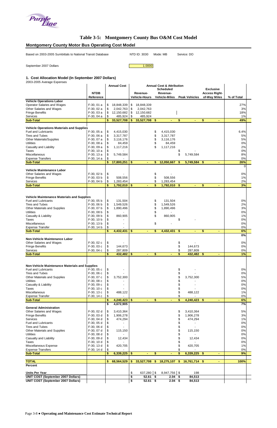Page 3-8 ● **Operating and Maintenance Cost Estimate Technical Report** 

<span id="page-25-0"></span>

### **Table 3-5: Montgomery County Bus O&M Cost Model**

### **Montgomery County Motor Bus Operating Cost Model**

Based on 2003-2005 Sumbittals to National Transit Database NTD ID: 3030 Mode: MB Service: DO

September 2007 Dollars 1.0000 and 1.0000 and 1.0000 and 1.0000 and 1.0000 and 1.0000 and 1.0000 and 1.0000 and 1.0000 and 1.0000 and 1.0000 and 1.0000 and 1.0000 and 1.0000 and 1.0000 and 1.0000 and 1.0000 and 1.0000 and 1

### **1. Cost Allocation Model (In September 2007 Dollars)**

2003-2005 Average Expenses

| ZUUJ-ZUUJ AVUIAYU LAPUIJUJ                                                          |                           |          | <b>Annual Cost</b>    |                    |                                  |            | <b>Annual Cost &amp; Attribution</b>    |     |               |                                      |                  |
|-------------------------------------------------------------------------------------|---------------------------|----------|-----------------------|--------------------|----------------------------------|------------|-----------------------------------------|-----|---------------|--------------------------------------|------------------|
|                                                                                     | <b>NTDB</b>               |          |                       |                    |                                  |            | <b>Scheduled</b>                        |     |               | <b>Exclusive</b>                     |                  |
|                                                                                     | <b>Reference</b>          |          |                       |                    | Revenue-<br><b>Vehicle-Hours</b> |            | Revenue-<br>Vehicle-Miles Peak Vehicles |     |               | <b>Access Right-</b><br>of-Way Miles | % of Total       |
| <b>Vehicle Operations Labor</b>                                                     |                           |          |                       |                    |                                  |            |                                         |     |               |                                      |                  |
| <b>Operator Salaries and Wages</b>                                                  | F-30, 01 a                | \$       | 18,848,339            | \$                 | 18,848,339                       |            |                                         |     |               |                                      | 27%              |
| Other Salaries and Wages                                                            | F-30, 02 a                | \$       | 2,042,763             | \$                 | 2,042,763                        |            |                                         |     |               |                                      | 3%               |
| <b>Fringe Benefits</b>                                                              | F-30, 03 a                |          | 12,150,682            | \$                 | 12,150,682                       |            |                                         |     |               |                                      | 18%              |
| Services<br><b>Sub-Total</b>                                                        | F-30, 04 a                | S<br>\$  | 485,924<br>33,527,708 | \$<br>$\mathbf{s}$ | 485,924<br>33,527,708 \$         |            |                                         | \$  |               | \$<br>٠                              | 1%<br>49%        |
|                                                                                     |                           |          |                       |                    |                                  |            |                                         |     |               |                                      |                  |
| <b>Vehicle Operations Materials and Supplies</b>                                    |                           |          |                       |                    |                                  |            |                                         |     |               |                                      |                  |
| <b>Fuel and Lubricants</b>                                                          | F-30, 05 a                | \$       | 4,415,030             |                    |                                  | \$         | 4,415,030                               |     |               |                                      | 6.4%             |
| <b>Tires and Tubes</b>                                                              | F-30, 06 a                | \$       | 3,317,787             |                    |                                  | \$         | 3,317,787                               |     |               |                                      | 5%<br>5%         |
| <b>Other Materials/Supplies</b><br><b>Utilities</b>                                 | F-30, 07 a<br>F-30, 08 a  | \$<br>\$ | 3,116,176<br>84,459   |                    |                                  | \$<br>\$   | 3,116,176<br>84,459                     |     |               |                                      | 0%               |
| Casualty and Liability                                                              | F-30, 09 a                | \$       | 1,117,216             |                    |                                  | \$         | 1,117,216                               |     |               |                                      | 2%               |
| <b>Taxes</b>                                                                        | F-30, 10 a                | \$       |                       |                    |                                  |            |                                         | \$  |               |                                      | 0%               |
| Miscellaneous                                                                       | F-30, 13 a                |          | 5,749,584             |                    |                                  |            |                                         | \$  | 5,749,584     |                                      | 8%               |
| <b>Expense Transfers</b>                                                            | F-30, 14 a                |          |                       |                    |                                  |            |                                         |     |               |                                      | 0%               |
| <b>Sub-Total</b>                                                                    |                           | \$       | 17,800,251            | \$                 | $\sim$                           | \$         | 12,050,667                              | \$  | 5,749,584 \$  | $\blacksquare$                       | 26%<br>$\Omega$  |
| <b>Vehicle Maintenance Labor</b>                                                    |                           |          |                       |                    |                                  |            |                                         |     |               |                                      |                  |
| Other Salaries and Wages                                                            | F-30, 02 b                | \$       |                       |                    |                                  | \$         |                                         |     |               |                                      | $0\%$            |
| <b>Fringe Benefits</b>                                                              | F-30, 03 b                | \$       | 508,556               |                    |                                  | \$         | 508,556                                 |     |               |                                      | 1%               |
| Services                                                                            | $F-30,04 b$               | \$       | 1,283,454             |                    |                                  | \$         | 1,283,454                               |     |               |                                      | 2%               |
| <b>Sub-Total</b>                                                                    |                           | Ŝ        | $1,792,010$ \$        |                    |                                  | \$         | 1,792,010 \$                            |     |               | \$<br>÷.                             | 3%               |
|                                                                                     |                           |          |                       |                    |                                  |            |                                         |     |               |                                      |                  |
| <b>Vehicle Maintenance Materials and Supplies</b>                                   |                           |          |                       |                    |                                  |            |                                         |     |               |                                      |                  |
| <b>Fuel and Lubricants</b>                                                          | F-30, 05 b                | \$       | 131,504               |                    |                                  | \$         | 131,504                                 |     |               |                                      | 0%               |
| <b>Tires and Tubes</b>                                                              | $F-30,06 b$               | \$       | 1,549,526             |                    |                                  | \$         | 1,549,526                               |     |               |                                      | 2%               |
| Other Materials and Supplies                                                        | F-30, 07 b                | \$       | 1,890,496             |                    |                                  | \$         | 1,890,496                               |     |               |                                      | 3%               |
| <b>Utilities</b>                                                                    | F-30, 08 b                | \$       |                       |                    |                                  | \$         |                                         |     |               |                                      | 0%               |
| Casualty & Liability<br><b>Taxes</b>                                                | $F-30,09 b$<br>F-30, 10 b | \$       | 860,905               |                    |                                  | \$         | 860,905                                 | \$  |               |                                      | 1%<br>0%         |
| Miscellaneous                                                                       | F-30, 13 b                | \$       |                       |                    |                                  | \$         |                                         |     |               |                                      | 0%               |
| <b>Expense Transfer</b>                                                             | F-30, 14 b                | \$       |                       |                    |                                  |            |                                         |     |               |                                      | 0%               |
| <b>Sub-Total</b>                                                                    |                           |          | 4,432,431             | \$                 |                                  | \$         | 4,432,431                               | -\$ |               | \$<br>$\blacksquare$                 | 6%               |
|                                                                                     |                           |          |                       |                    |                                  |            |                                         |     |               |                                      | $\overline{0\%}$ |
| Non-Vehicle Maintenance Labor<br>Other Salaries and Wages                           | F-30, 02 c                | \$       |                       |                    |                                  |            |                                         |     |               |                                      | 0%               |
| <b>Fringe Benefits</b>                                                              | F-30, 03 c                | \$       | 144,673               |                    |                                  |            |                                         |     | 144,673       |                                      | 0%               |
| Services                                                                            | F-30, 04 c                | \$       | 287,809               |                    |                                  |            |                                         | \$  | 287,809       |                                      | 0%               |
| <b>Sub-Total</b>                                                                    |                           |          | $432,482$ \$          |                    |                                  | \$         |                                         | \$  | $432,482$ \$  |                                      | 1%               |
|                                                                                     |                           |          |                       |                    |                                  |            |                                         |     |               |                                      |                  |
|                                                                                     |                           |          |                       |                    |                                  |            |                                         |     |               |                                      |                  |
| <b>Non-Vehicle Maintenance Materials and Supplies</b><br><b>Fuel and Lubricants</b> |                           |          |                       |                    |                                  |            |                                         |     |               |                                      |                  |
| <b>Tires and Tubes</b>                                                              | F-30, 05 c<br>F-30, 06 c  | \$<br>\$ |                       |                    |                                  |            |                                         | \$  |               |                                      | 0%<br>0%         |
| Other Materials and Supplies                                                        | F-30, 07 c                | \$       | 3,752,300             |                    |                                  |            |                                         |     | 3,752,300     |                                      | 5%               |
| <b>Utilities</b>                                                                    | F-30, 08 c                |          |                       |                    |                                  |            |                                         |     |               |                                      | 0%               |
| Casualty & Liability                                                                | F-30, 09 c                | \$       |                       |                    |                                  |            |                                         |     |               |                                      | 0%               |
| <b>Taxes</b>                                                                        | F-30, 10 c                | \$       |                       |                    |                                  |            |                                         |     |               |                                      | 0%               |
| Miscellaneous                                                                       | F-30, 13 c                |          | 488,122               |                    |                                  |            |                                         |     | 488,122       |                                      | 1%               |
| <b>Expense Transfer</b><br><b>Sub-Total</b>                                         | F-30, 14 c                | \$       | 4,240,423             | $\mathbf{s}$       |                                  | \$         |                                         | \$  | 4,240,423 \$  |                                      | 0%<br>6%         |
|                                                                                     |                           | \$       | 4,672,905             |                    |                                  |            |                                         |     |               |                                      | 7%               |
| <b>General Administration</b>                                                       |                           |          |                       |                    |                                  |            |                                         |     |               |                                      |                  |
| Other Salaries and Wages                                                            | F-30, 02 d                | \$       | 3,410,364             |                    |                                  |            |                                         | \$  | 3,410,364     |                                      | 5%               |
| <b>Fringe Benefits</b>                                                              | F-30, 03 d                | \$       | 1,906,278             |                    |                                  |            |                                         |     | 1,906,278     |                                      | 3%               |
| Services                                                                            | F-30, 04 d                | \$       | 474,294               |                    |                                  |            |                                         |     | 474,294       |                                      | 1%               |
| <b>Fuel and Lubricants</b><br><b>Tires and Tubes</b>                                | F-30, 05 d<br>F-30, 06 d  |          |                       |                    |                                  |            |                                         |     |               |                                      | 0%<br>0%         |
| Other Materials and Supplies                                                        | F-30, 07 d                | \$       | 115,150               |                    |                                  |            |                                         |     | 115,150       |                                      | 0%               |
| <b>Utilities</b>                                                                    | F-30, 08 d                | \$       |                       |                    |                                  |            |                                         |     |               |                                      | 0%               |
| Casualty and Liability                                                              | F-30, 09 d                | \$       | 12,434                |                    |                                  |            |                                         |     | 12,434        |                                      | 0%               |
| <b>Taxes</b>                                                                        | F-30, 10 d                |          |                       |                    |                                  |            |                                         |     |               |                                      | $0\%$            |
| Miscellaneous Expense                                                               | F-30, 13 d                |          | 420,705               |                    |                                  |            |                                         |     | 420,705       |                                      | 1%               |
| <b>Expense Transfers</b><br><b>Sub-Total</b>                                        | F-30, 14 d                | \$<br>\$ | 6,339,225             | $\mathbf{s}$       | $\blacksquare$                   | \$         |                                         | \$  | 6,339,225 \$  |                                      | 0%<br>9%         |
|                                                                                     |                           |          |                       |                    |                                  |            |                                         |     |               | ٠                                    |                  |
| <b>TOTAL</b>                                                                        |                           | \$       | 68,564,529            | \$                 | 33,527,708                       | $\sqrt{2}$ | 18,275,107                              | \$  | 16,761,714 \$ |                                      | 100%             |
| <b>Percent</b>                                                                      |                           |          |                       |                    |                                  |            |                                         |     |               |                                      |                  |
| <b>Units Per Year</b>                                                               |                           |          |                       | \$                 | $637,280$ \$                     |            | $8,947,756$ \\$                         |     | 198           |                                      |                  |
| <b>UNIT COST (September 2007 Dollars)</b>                                           |                           |          |                       | \$                 | $52.61$ \$                       |            | $2.04$ \$                               |     | 84,513        |                                      |                  |
| <b>UNIT COST (September 2007 Dollars)</b>                                           |                           |          |                       | \$                 | $52.61$ \$                       |            | $2.04$ \$                               |     | 84,513        |                                      |                  |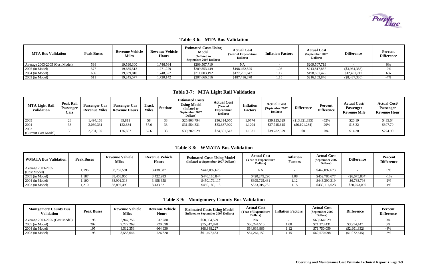

### **Table 3-6: MTA Bus Validation**

<span id="page-26-0"></span>

| <b>MTA Bus Validation</b>      | <b>Peak Buses</b> | <b>Revenue Vehicle</b><br><b>Miles</b> | <b>Revenue Vehicle</b><br>Hours | <b>Estimated Costs Using</b><br><b>Model</b><br>(Inflated to<br>September 2007 Dollars) | <b>Actual Cost</b><br>(Year of Expenditure)<br>Dollars) | <b>Inflation Factors</b> | <b>Actual Cost</b><br>(September 2007<br>Dollars) | <b>Difference</b> | <b>Percent</b><br><b>Difference</b> |
|--------------------------------|-------------------|----------------------------------------|---------------------------------|-----------------------------------------------------------------------------------------|---------------------------------------------------------|--------------------------|---------------------------------------------------|-------------------|-------------------------------------|
| Average 2003-2005 (Cost Model) | 598               | 19,590,300                             | ,746,564                        | \$209,507,719                                                                           |                                                         |                          | \$209,507,719                                     |                   | 0%                                  |
| $2005$ (in Model)              | 577               | 19,685,513                             | ,771,229                        | \$209,853,449                                                                           | \$198,452,825                                           | 1.08                     | \$213,817,837                                     | $(\$3,964,388)$   | $-2\%$                              |
| $2004$ (in Model)              | 606               | 19.839.810                             | ,748,322                        | \$211,003,192                                                                           | \$177,251,647                                           | .12                      | \$198,601,475                                     | \$12,401,717      | 6%                                  |
| $2003$ (in Model)              | 611               | 19,245,577                             | ,720,142                        | \$207,666,516                                                                           | \$187,416,870                                           |                          | \$216,103,846                                     | $(\$8,437,330)$   | $-4\%$                              |

### **Table 3-7: MTA Light Rail Validation**

| <b>MTA Light Rail</b><br><b>Validation</b> | <b>Peak Rail</b><br>Passenger<br>Cars | <b>Passenger Car</b><br><b>Revenue Miles</b> | <b>Passenger Car</b><br><b>Revenue Hours</b> | <b>Track</b><br><b>Miles</b> | <b>Stations</b> | <b>Estimated Costs</b><br><b>Using Model</b><br>(Inflated to<br>September 2007<br>Dollars) | <b>Actual Cost</b><br>(Year of<br><b>Expenditure</b><br>Dollars) | <b>Inflation</b><br><b>Factors</b> | <b>Actual Cost</b><br>(September 2007<br>Dollars) | <b>Difference</b> | Percent<br><b>Difference</b> | <b>Actual Cost/</b><br>Passenger<br><b>Revenue Mile</b> | <b>Actual Cost/</b><br><b>Passenger</b><br><b>Revenue Hour</b> |
|--------------------------------------------|---------------------------------------|----------------------------------------------|----------------------------------------------|------------------------------|-----------------|--------------------------------------------------------------------------------------------|------------------------------------------------------------------|------------------------------------|---------------------------------------------------|-------------------|------------------------------|---------------------------------------------------------|----------------------------------------------------------------|
| 2005                                       | 28                                    | 1,494,163                                    | 89,811                                       | 58                           |                 | \$25,803,794                                                                               | \$36,314,050                                                     | 1.0774                             | \$39,125,629                                      | $(\$13,321,835)$  | $-52%$                       | \$26.19                                                 | \$435.64                                                       |
| 2004                                       |                                       | 2,060,331                                    | 122,634                                      | 57.6                         |                 | \$31,554,331                                                                               | \$33,687,929                                                     | 1.1204                             | \$37,745,615                                      | $(\$6,191,284)$   | $-20%$                       | \$18.32                                                 | \$307.79                                                       |
| 2003<br>(Current Cost Model)               |                                       | 2,781,102                                    | 176,887                                      | 57.6                         |                 | \$39,782,529                                                                               | \$34,501,547                                                     | 1.1531                             | \$39,782,529                                      | \$0               | 0%                           | \$14.30                                                 | \$224.90                                                       |

### **Table 3-8: WMATA Bus Validation**

| <b>WMATA Bus Validation</b>       | <b>Peak Buses</b> | <b>Revenue Vehicle</b><br><b>Miles</b> | <b>Revenue Vehicle</b><br><b>Hours</b> | <b>Estimated Costs Using Model</b><br>(Inflated to September 2007 Dollars) | <b>Actual Cost</b><br>(Year of Expenditure)<br>Dollars) | <b>Inflation</b><br><b>Factors</b> | <b>Actual Cost</b><br>(September 2007)<br>Dollars) | <b>Difference</b> | <b>Percent</b><br><b>Difference</b> |
|-----------------------------------|-------------------|----------------------------------------|----------------------------------------|----------------------------------------------------------------------------|---------------------------------------------------------|------------------------------------|----------------------------------------------------|-------------------|-------------------------------------|
| Average 2003-2005<br>(Cost Model) | l, 196            | 38,752,591                             | 3,438,387                              | \$442,097,673                                                              | <b>NA</b>                                               |                                    | \$442,097,673                                      |                   | 0%                                  |
| $2005$ (in Model)                 | ,187              | 38,458,955                             | 3,422,983                              | \$446,110,844                                                              | \$420,249,296                                           | 1.08                               | \$452,786,677                                      | $(\$6,675,834)$   | $-1\%$                              |
| $2004$ (in Model)                 | ,190              | 38,901,318                             | 3,458,658                              | \$450,179,117                                                              | \$395,725,481                                           | 1.12                               | \$443,390,319                                      | \$6,788,798       | 2%                                  |
| $2003$ (in Model)                 | 1,210             | 38,897,499                             | 3,433,521                              | \$450,189,113                                                              | \$373,019,732                                           | 1.15                               | \$430,116,023                                      | \$20,073,090      | 4%                                  |

### **Table 3-9: Montgomery County Bus Validation**

| <b>Montgomery County Bus</b><br><b>Validation</b> | <b>Peak Buses</b> | <b>Revenue Vehicle</b><br><b>Miles</b> | <b>Revenue Vehicle</b><br>Hours | <b>Estimated Costs Using Model</b><br>(Inflated to September 2007 Dollars) | <b>Actual Cost</b><br>(Year of Expenditure)<br>Dollars) | <b>Inflation Factors</b> | <b>Actual Cost</b><br>(September 2007<br>Dollars) | <b>Difference</b> | <b>Percent</b><br><b>Difference</b> |
|---------------------------------------------------|-------------------|----------------------------------------|---------------------------------|----------------------------------------------------------------------------|---------------------------------------------------------|--------------------------|---------------------------------------------------|-------------------|-------------------------------------|
| Average 2003-2005 (Cost Model)                    | 198               | 8,947,756                              | 637,280                         | \$68,564,529                                                               | ΝA                                                      |                          | \$68,564,529                                      |                   |                                     |
| $2005$ (in Model)                                 | 207               | 9,777,269                              | 720,090                         | \$75,347,878                                                               | \$66,244,516                                            | .08                      | \$71,373,431                                      | \$3,974,447       |                                     |
| $2004$ (in Model)                                 | 195               | 8,512,353                              | 664,930                         | \$68,848,227                                                               | \$64,036,866                                            | 1.12                     | \$71,750,059                                      | $(\$2,901,832)$   | $-4\%$                              |
| 2003 (in Model)                                   | 193               | 8,553,646                              | 526,820                         | \$61,497,483                                                               | \$54,264,152                                            | .15                      | \$62,570,098                                      | (\$1,072,615)     | $-2\%$                              |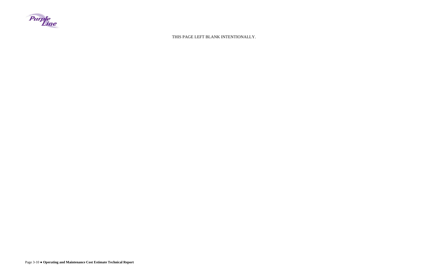

THIS PAGE LEFT BLANK INTENTIONALLY.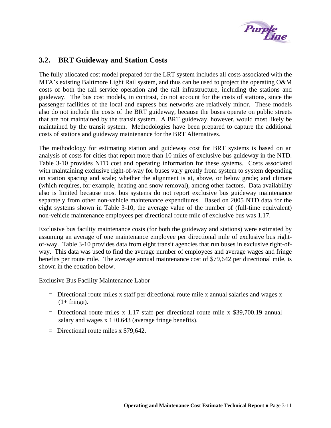

### <span id="page-28-0"></span>**3.2. BRT Guideway and Station Costs**

The fully allocated cost model prepared for the LRT system includes all costs associated with the MTA's existing Baltimore Light Rail system, and thus can be used to project the operating O&M costs of both the rail service operation and the rail infrastructure, including the stations and guideway. The bus cost models, in contrast, do not account for the costs of stations, since the passenger facilities of the local and express bus networks are relatively minor. These models also do not include the costs of the BRT guideway, because the buses operate on public streets that are not maintained by the transit system. A BRT guideway, however, would most likely be maintained by the transit system. Methodologies have been prepared to capture the additional costs of stations and guideway maintenance for the BRT Alternatives.

The methodology for estimating station and guideway cost for BRT systems is based on an analysis of costs for cities that report more than 10 miles of exclusive bus guideway in the NTD. Table 3-10 provides NTD cost and operating information for these systems. Costs associated with maintaining exclusive right-of-way for buses vary greatly from system to system depending on station spacing and scale; whether the alignment is at, above, or below grade; and climate (which requires, for example, heating and snow removal), among other factors. Data availability also is limited because most bus systems do not report exclusive bus guideway maintenance separately from other non-vehicle maintenance expenditures. Based on 2005 NTD data for the eight systems shown in Table 3-10, the average value of the number of (full-time equivalent) non-vehicle maintenance employees per directional route mile of exclusive bus was 1.17.

Exclusive bus facility maintenance costs (for both the guideway and stations) were estimated by assuming an average of one maintenance employee per directional mile of exclusive bus rightof-way. Table 3-10 provides data from eight transit agencies that run buses in exclusive right-ofway. This data was used to find the average number of employees and average wages and fringe benefits per route mile. The average annual maintenance cost of \$79,642 per directional mile, is shown in the equation below.

Exclusive Bus Facility Maintenance Labor

- $=$  Directional route miles x staff per directional route mile x annual salaries and wages x  $(1+$  fringe).
- $=$  Directional route miles x 1.17 staff per directional route mile x \$39,700.19 annual salary and wages  $x$  1+0.643 (average fringe benefits).
- $=$  Directional route miles x \$79.642.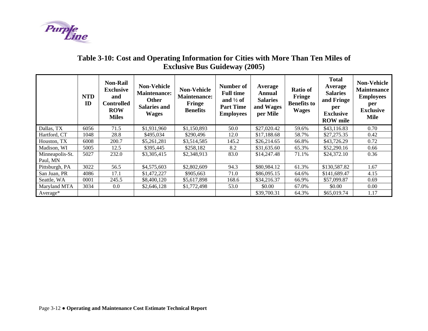<span id="page-29-0"></span>

### **Table 3-10: Cost and Operating Information for Cities with More Than Ten Miles of Exclusive Bus Guideway (2005)**

|                             | <b>NTD</b><br>ID | <b>Non-Rail</b><br><b>Exclusive</b><br>and<br><b>Controlled</b><br><b>ROW</b><br><b>Miles</b> | <b>Non-Vehicle</b><br>Maintenance:<br><b>Other</b><br><b>Salaries and</b><br><b>Wages</b> | <b>Non-Vehicle</b><br><b>Maintenance:</b><br>Fringe<br><b>Benefits</b> | Number of<br><b>Full time</b><br>and $\frac{1}{2}$ of<br><b>Part Time</b><br><b>Employees</b> | Average<br><b>Annual</b><br><b>Salaries</b><br>and Wages<br>per Mile | <b>Ratio of</b><br>Fringe<br><b>Benefits to</b><br><b>Wages</b> | <b>Total</b><br>Average<br><b>Salaries</b><br>and Fringe<br>per<br><b>Exclusive</b><br><b>ROW</b> mile | <b>Non-Vehicle</b><br><b>Maintenance</b><br><b>Employees</b><br>per<br><b>Exclusive</b><br><b>Mile</b> |
|-----------------------------|------------------|-----------------------------------------------------------------------------------------------|-------------------------------------------------------------------------------------------|------------------------------------------------------------------------|-----------------------------------------------------------------------------------------------|----------------------------------------------------------------------|-----------------------------------------------------------------|--------------------------------------------------------------------------------------------------------|--------------------------------------------------------------------------------------------------------|
| Dallas, TX                  | 6056             | 71.5                                                                                          | \$1,931,960                                                                               | \$1,150,893                                                            | 50.0                                                                                          | \$27,020.42                                                          | 59.6%                                                           | \$43,116.83                                                                                            | 0.70                                                                                                   |
| Hartford, CT                | 1048             | 28.8                                                                                          | \$495,034                                                                                 | \$290,496                                                              | 12.0                                                                                          | \$17,188.68                                                          | 58.7%                                                           | \$27,275.35                                                                                            | 0.42                                                                                                   |
| Houston, TX                 | 6008             | 200.7                                                                                         | \$5,261,281                                                                               | \$3,514,585                                                            | 145.2                                                                                         | \$26,214.65                                                          | 66.8%                                                           | \$43,726.29                                                                                            | 0.72                                                                                                   |
| Madison, WI                 | 5005             | 12.5                                                                                          | \$395,445                                                                                 | \$258,182                                                              | 8.2                                                                                           | \$31,635.60                                                          | 65.3%                                                           | \$52,290.16                                                                                            | 0.66                                                                                                   |
| Minneapolis-St.<br>Paul, MN | 5027             | 232.0                                                                                         | \$3,305,415                                                                               | \$2,348,913                                                            | 83.0                                                                                          | \$14,247.48                                                          | 71.1%                                                           | \$24,372.10                                                                                            | 0.36                                                                                                   |
| Pittsburgh, PA              | 3022             | 56.5                                                                                          | \$4,575,603                                                                               | \$2,802,609                                                            | 94.3                                                                                          | \$80,984.12                                                          | 61.3%                                                           | \$130,587.82                                                                                           | 1.67                                                                                                   |
| San Juan, PR                | 4086             | 17.1                                                                                          | \$1,472,227                                                                               | \$905,663                                                              | 71.0                                                                                          | \$86,095.15                                                          | 64.6%                                                           | \$141,689.47                                                                                           | 4.15                                                                                                   |
| Seattle, WA                 | 0001             | 245.5                                                                                         | \$8,400,120                                                                               | \$5,617,898                                                            | 168.6                                                                                         | \$34,216.37                                                          | 66.9%                                                           | \$57,099.87                                                                                            | 0.69                                                                                                   |
| Maryland MTA                | 3034             | 0.0                                                                                           | \$2,646,128                                                                               | \$1,772,498                                                            | 53.0                                                                                          | \$0.00                                                               | 67.0%                                                           | \$0.00                                                                                                 | 0.00                                                                                                   |
| Average*                    |                  |                                                                                               |                                                                                           |                                                                        |                                                                                               | \$39,700.31                                                          | 64.3%                                                           | \$65,019.74                                                                                            | 1.17                                                                                                   |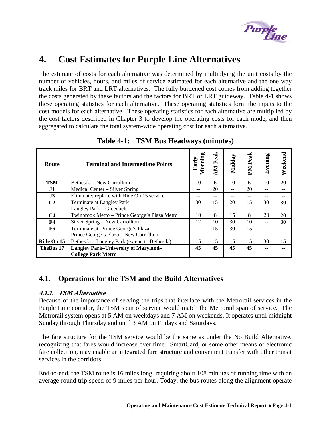

### <span id="page-30-0"></span>**4. Cost Estimates for Purple Line Alternatives**

The estimate of costs for each alternative was determined by multiplying the unit costs by the number of vehicles, hours, and miles of service estimated for each alternative and the one way track miles for BRT and LRT alternatives. The fully burdened cost comes from adding together the costs generated by these factors and the factors for BRT or LRT guideway. Table 4-1 shows these operating statistics for each alternative. These operating statistics form the inputs to the cost models for each alternative. These operating statistics for each alternative are multiplied by the cost factors described in Chapter 3 to develop the operating costs for each mode, and then aggregated to calculate the total system-wide operating cost for each alternative.

| Route          | <b>Terminal and Intermediate Points</b>                                  | Morning<br>Early | <b>AM</b> Peak | Midday | PM Peak | Evening | Weekend |
|----------------|--------------------------------------------------------------------------|------------------|----------------|--------|---------|---------|---------|
| <b>TSM</b>     | Bethesda – New Carrollton                                                | 10               | 6              | 10     | 6       | 10      | 20      |
| J1             | Medical Center – Silver Spring                                           | --               | 20             | --     | 20      | --      | --      |
| J3             | Eliminate; replace with Ride On 15 service                               | --               |                |        |         | --      | --      |
| C <sub>2</sub> | <b>Terminate at Langley Park</b>                                         | 30               | 15             | 20     | 15      | 30      | 30      |
|                | Langley Park – Greenbelt                                                 |                  |                |        |         |         |         |
| C <sub>4</sub> | Twinbrook Metro - Prince George's Plaza Metro                            | 10               | 8              | 15     | 8       | 20      | 20      |
| F4             | Silver Spring – New Carrollton                                           | 12               | 10             | 30     | 10      | --      | 30      |
| F6             | Terminate at Prince George's Plaza                                       | --               | 15             | 30     | 15      | --      | --      |
|                | Prince George's Plaza - New Carrollton                                   |                  |                |        |         |         |         |
| Ride On 15     | Bethesda – Langley Park (extend to Bethesda)                             | 15               | 15             | 15     | 15      | 30      | 15      |
| TheBus 17      | <b>Langley Park-University of Maryland-</b><br><b>College Park Metro</b> | 45               | 45             | 45     | 45      | --      |         |

**Table 4-1: TSM Bus Headways (minutes)** 

### **4.1. Operations for the TSM and the Build Alternatives**

### **4.1.1. TSM Alternative**

Because of the importance of serving the trips that interface with the Metrorail services in the Purple Line corridor, the TSM span of service would match the Metrorail span of service. The Metrorail system opens at 5 AM on weekdays and 7 AM on weekends. It operates until midnight Sunday through Thursday and until 3 AM on Fridays and Saturdays.

The fare structure for the TSM service would be the same as under the No Build Alternative, recognizing that fares would increase over time. SmartCard, or some other means of electronic fare collection, may enable an integrated fare structure and convenient transfer with other transit services in the corridors.

End-to-end, the TSM route is 16 miles long, requiring about 108 minutes of running time with an average round trip speed of 9 miles per hour. Today, the bus routes along the alignment operate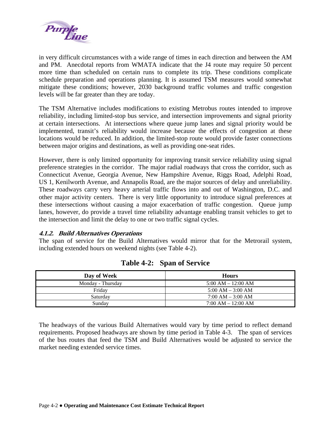<span id="page-31-0"></span>

in very difficult circumstances with a wide range of times in each direction and between the AM and PM. Anecdotal reports from WMATA indicate that the J4 route may require 50 percent more time than scheduled on certain runs to complete its trip. These conditions complicate schedule preparation and operations planning. It is assumed TSM measures would somewhat mitigate these conditions; however, 2030 background traffic volumes and traffic congestion levels will be far greater than they are today.

The TSM Alternative includes modifications to existing Metrobus routes intended to improve reliability, including limited-stop bus service, and intersection improvements and signal priority at certain intersections. At intersections where queue jump lanes and signal priority would be implemented, transit's reliability would increase because the effects of congestion at these locations would be reduced. In addition, the limited-stop route would provide faster connections between major origins and destinations, as well as providing one-seat rides.

However, there is only limited opportunity for improving transit service reliability using signal preference strategies in the corridor. The major radial roadways that cross the corridor, such as Connecticut Avenue, Georgia Avenue, New Hampshire Avenue, Riggs Road, Adelphi Road, US 1, Kenilworth Avenue, and Annapolis Road, are the major sources of delay and unreliability. These roadways carry very heavy arterial traffic flows into and out of Washington, D.C. and other major activity centers. There is very little opportunity to introduce signal preferences at these intersections without causing a major exacerbation of traffic congestion. Queue jump lanes, however, do provide a travel time reliability advantage enabling transit vehicles to get to the intersection and limit the delay to one or two traffic signal cycles.

#### **4.1.2. Build Alternatives Operations**

The span of service for the Build Alternatives would mirror that for the Metrorail system, including extended hours on weekend nights (see Table 4-2).

| Day of Week       | <b>Hours</b>         |
|-------------------|----------------------|
| Monday - Thursday | $5:00 AM - 12:00 AM$ |
| Friday            | $5:00 AM - 3:00 AM$  |
| Saturday          | $7:00$ AM $-3:00$ AM |
| Sundav            | $7:00 AM - 12:00 AM$ |

**Table 4-2: Span of Service** 

The headways of the various Build Alternatives would vary by time period to reflect demand requirements. Proposed headways are shown by time period in Table 4-3. The span of services of the bus routes that feed the TSM and Build Alternatives would be adjusted to service the market needing extended service times.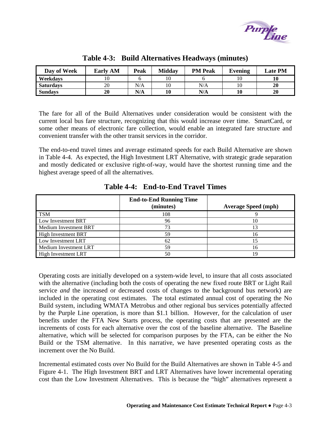

<span id="page-32-0"></span>

| Day of Week      | <b>Early AM</b> | Peak | <b>Midday</b> | <b>PM</b> Peak | Evening | <b>Late PM</b> |
|------------------|-----------------|------|---------------|----------------|---------|----------------|
| Weekdays         |                 |      | 10            |                | ΙU      | 10             |
| <b>Saturdays</b> | 20              | N/A  | 10            | N/A            | 10      | 20             |
| <b>Sundays</b>   | 20              | N/A  | 10            | N/A            |         | 20             |

|  |  | Table 4-3: Build Alternatives Headways (minutes) |  |  |
|--|--|--------------------------------------------------|--|--|
|--|--|--------------------------------------------------|--|--|

The fare for all of the Build Alternatives under consideration would be consistent with the current local bus fare structure, recognizing that this would increase over time. SmartCard, or some other means of electronic fare collection, would enable an integrated fare structure and convenient transfer with the other transit services in the corridor.

The end-to-end travel times and average estimated speeds for each Build Alternative are shown in Table 4-4. As expected, the High Investment LRT Alternative, with strategic grade separation and mostly dedicated or exclusive right-of-way, would have the shortest running time and the highest average speed of all the alternatives.

|                            | <b>End-to-End Running Time</b><br>(minutes) | <b>Average Speed (mph)</b> |
|----------------------------|---------------------------------------------|----------------------------|
| <b>TSM</b>                 | 108                                         |                            |
| Low Investment BRT         | 96                                          | 10                         |
| Medium Investment BRT      | 73                                          |                            |
| <b>High Investment BRT</b> | 59                                          | 16                         |
| Low Investment LRT         | 62                                          | 15                         |
| Medium Investment LRT      | 59                                          | 16                         |
| <b>High Investment LRT</b> | 50                                          | 19                         |

### **Table 4-4: End-to-End Travel Times**

Operating costs are initially developed on a system-wide level, to insure that all costs associated with the alternative (including both the costs of operating the new fixed route BRT or Light Rail service *and* the increased or decreased costs of changes to the background bus network) are included in the operating cost estimates. The total estimated annual cost of operating the No Build system, including WMATA Metrobus and other regional bus services potentially affected by the Purple Line operation, is more than \$1.1 billion. However, for the calculation of user benefits under the FTA New Starts process, the operating costs that are presented are the increments of costs for each alternative over the cost of the baseline alternative. The Baseline alternative, which will be selected for comparison purposes by the FTA, can be either the No Build or the TSM alternative. In this narrative, we have presented operating costs as the increment over the No Build.

Incremental estimated costs over No Build for the Build Alternatives are shown in Table 4-5 and Figure 4-1. The High Investment BRT and LRT Alternatives have lower incremental operating cost than the Low Investment Alternatives. This is because the "high" alternatives represent a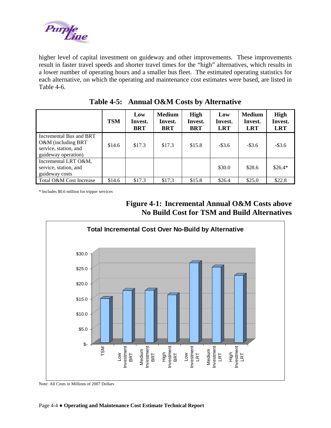<span id="page-33-0"></span>

higher level of capital investment on guideway and other improvements. These improvements result in faster travel speeds and shorter travel times for the "high" alternatives, which results in a lower number of operating hours and a smaller bus fleet. The estimated operating statistics for each alternative, on which the operating and maintenance cost estimates were based, are listed in Table 4-6.

|                                                                                                | <b>TSM</b> | Low<br>Invest.<br><b>BRT</b> | <b>Medium</b><br>Invest.<br><b>BRT</b> | High<br>Invest.<br><b>BRT</b> | Low<br>Invest.<br><b>LRT</b> | <b>Medium</b><br>Invest.<br><b>LRT</b> | <b>High</b><br>Invest.<br><b>LRT</b> |
|------------------------------------------------------------------------------------------------|------------|------------------------------|----------------------------------------|-------------------------------|------------------------------|----------------------------------------|--------------------------------------|
| Incremental Bus and BRT<br>O&M (including BRT)<br>service, station, and<br>guideway operation) | \$14.6     | \$17.3                       | \$17.3                                 | \$15.8                        | $-$ \$3.6                    | $-$ \$3.6                              | $-$ \$3.6                            |
| Incremental LRT O&M,<br>service, station, and<br>guideway costs                                |            |                              |                                        |                               | \$30.0                       | \$28.6                                 | $$26.4*$                             |
| Total O&M Cost Increase                                                                        | \$14.6     | \$17.3                       | \$17.3                                 | \$15.8                        | \$26.4                       | \$25.0                                 | \$22.8                               |

**Table 4-5: Annual O&M Costs by Alternative** 

\* Includes \$0.6 million for tripper services





Note: All Costs in Millions of 2007 Dollars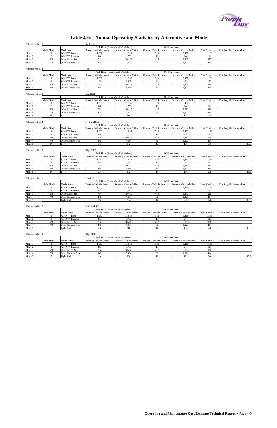**Operating and Maintenance Cost Estimate Technical Report** ● Page 4-5



### **Table 4-6: Annual Operating Statistics by Alternative and Mode**

<span id="page-34-0"></span>

| Alternative No. 1 |                |                                 | No Build                                                  |                              |                       |                              |               |                        |
|-------------------|----------------|---------------------------------|-----------------------------------------------------------|------------------------------|-----------------------|------------------------------|---------------|------------------------|
|                   |                |                                 | Peak Hour (From Model Worksheet)                          |                              |                       | Off-Peak Hour                |               |                        |
|                   | Mode Model     | Mode Name                       | Revenue Vehicle Hours                                     | Revenue Vehicle Miles        | Revenue Vehicle Hours | <b>Revenue Vehicle Miles</b> | Peak Vehicles | One Way Guideway Miles |
| Mode 1            | -1             | <b>WMATA</b> Local              | 1,068                                                     | 11,921                       | 521                   | 5,452                        | 1,288         |                        |
| Mode 2            | $\sqrt{2}$     | <b>WMATA Express</b>            | 85                                                        | 1,750                        | 13                    | 244                          | 111           |                        |
| Mode 3            | 6/8            | Other Local Bus                 | 741                                                       | 10,473                       | 417                   | 5,915                        | 927           |                        |
| Mode 4            | 7/9            | Other Express Bus               | 346                                                       | 7,464                        | 61                    | 1,321                        | 414           |                        |
|                   |                |                                 |                                                           |                              |                       |                              |               |                        |
| Alternative No. 2 |                |                                 | <b>TSM</b>                                                |                              |                       |                              |               |                        |
|                   |                |                                 | Peak Hour (From Model Worksheet)                          |                              |                       | Off-Peak Hour                |               |                        |
|                   | Mode Model     | Mode Name                       | Revenue Vehicle Hours                                     | <b>Revenue Vehicle Miles</b> | Revenue Vehicle Hours | <b>Revenue Vehicle Miles</b> | Peak Vehicles | One Way Guideway Miles |
|                   |                |                                 |                                                           |                              |                       |                              |               |                        |
| Mode 1            | $\overline{1}$ | <b>WMATA Local</b>              | 1,063                                                     | 11,857                       | 521                   | 5,452                        | 1,283         |                        |
| Mode 2            | $\overline{c}$ | <b>WMATA</b> Express            | 126                                                       | 2,069                        | 34                    | 435                          | 153           |                        |
| Mode 3            | 6/8            | Other Local Bus                 | 734                                                       | 10,429                       | 412                   | 5,874                        | 920           |                        |
| Mode 4            | 7/9            | Other Express Bus               | 346                                                       | 7,464                        | 61                    | 1,321                        | 414           |                        |
|                   |                |                                 |                                                           |                              |                       |                              |               |                        |
| Alternative No. 3 |                |                                 | Low BRT                                                   |                              |                       |                              |               |                        |
|                   |                |                                 | Peak Hour (From Model Worksheet)                          |                              |                       | Off-Peak Hour                |               |                        |
|                   | Mode Model     | Mode Name                       | Revenue Vehicle Hours                                     | Revenue Vehicle Miles        | Revenue Vehicle Hours | Revenue Vehicle Miles        | Peak Vehicles | One Way Guideway Miles |
| Mode 1            | -1             | <b>WMATA</b> Local              | 1,063                                                     | 11,857                       | 521                   | 5,452                        | 1,283         |                        |
| Mode 2            | 2              | <b>WMATA</b> Express            | 85                                                        | 1,750                        | 13                    | 244                          | 111           |                        |
| Mode 3            | 6/8            | Other Local Bus                 | 734                                                       | 10,415                       | 413                   | 5,882                        | 920           |                        |
| Mode 4            | 7/9            | <b>Other Express Bus</b>        | 346                                                       | 7,464                        | 61                    | 1,321                        | 414           |                        |
|                   |                |                                 |                                                           |                              |                       |                              |               |                        |
| Mode 5            | 10             | BRT                             | 37                                                        | 319                          | 22                    | 192                          | 38            | $\boldsymbol{0}$       |
|                   |                |                                 |                                                           |                              |                       |                              |               |                        |
| Alternative No. 4 |                |                                 | Medium BRT                                                |                              |                       |                              |               |                        |
|                   |                |                                 | Peak Hour (From Model Worksheet)                          |                              |                       | Off-Peak Hour                |               |                        |
|                   | Mode Model     | Mode Name                       | Revenue Vehicle Hours                                     | <b>Revenue Vehicle Miles</b> | Revenue Vehicle Hours | <b>Revenue Vehicle Miles</b> | Peak Vehicles | One Way Guideway Miles |
| Mode 1            |                | <b>WMATA Local</b>              | 1,063                                                     | 11,857                       | 521                   | 5,452                        | 1,283         |                        |
| Mode 2            | 2              | <b>WMATA Express</b>            | 85                                                        | 1,750                        | 13                    | 244                          | 111           |                        |
| Mode 3            | 6/8            | Other Local Bus                 | 734                                                       | 10,415                       | 413                   | 5,882                        | 920           |                        |
| Mode 4            | 7/9            | <b>Other Express Bus</b>        | 346                                                       | 7,464                        | 61                    | 1,321                        | 414           |                        |
| Mode 5            | 10             | BRT                             | 34                                                        | 372                          | 17                    | 186                          | 34            | 15.5                   |
|                   |                |                                 |                                                           |                              |                       |                              |               |                        |
|                   |                |                                 | High BRT                                                  |                              |                       |                              |               |                        |
| Alternative No. 5 |                |                                 |                                                           |                              |                       |                              |               |                        |
|                   |                |                                 |                                                           |                              |                       |                              |               |                        |
|                   |                |                                 | Peak Hour (From Model Worksheet)                          |                              |                       | Off-Peak Hour                |               |                        |
|                   | Mode Model     | Mode Name                       | Revenue Vehicle Hours                                     | Revenue Vehicle Miles        | Revenue Vehicle Hours | Revenue Vehicle Miles        | Peak Vehicles | One Way Guideway Miles |
| Mode 1            | -1             | <b>WMATA</b> Local              | 1,063                                                     | 11,857                       | 521                   | 5,452                        | 1,283         |                        |
| Mode 2            | 2              | <b>WMATA Express</b>            | 85                                                        | 1,750                        | 13                    | 244                          | 111           |                        |
| Mode 3            | 6/8            | Other Local Bus                 | 734                                                       | 10,415                       | 413                   | 5,882                        | 920           |                        |
|                   |                |                                 |                                                           |                              |                       |                              |               |                        |
| Mode 4            | 7/9            | Other Express Bus               | 346                                                       | 7,464                        | 61                    | 1,321                        | 414           |                        |
| Mode 5            | 10             | BRT                             | 27                                                        | 372                          | 14                    | 186                          | 28            | 15.5                   |
|                   |                |                                 |                                                           |                              |                       |                              |               |                        |
| Alternative No. 6 |                |                                 | Low LRT                                                   |                              |                       |                              |               |                        |
|                   |                |                                 | Peak Hour (From Model Worksheet)                          |                              |                       | Off-Peak Hour                |               |                        |
|                   | Mode Model     | Mode Name                       | Revenue Vehicle Hours                                     | Revenue Vehicle Miles        | Revenue Vehicle Hours | Revenue Vehicle Miles        | Peak Vehicles | One Way Guideway Miles |
| Mode 1            |                | <b>WMATA</b> Local              | 1,063                                                     | 11,883                       | 521                   | 5,460                        | 1,283         |                        |
| Mode 2            | $\sqrt{2}$     | <b>WMATA</b> Express            | 85                                                        | 1,750                        | 13                    | 244                          | 111           |                        |
| Mode 3            | 6/8            | Other Local Bus                 | 734                                                       | 10,439                       | 413                   | 5,893                        | 920           |                        |
| Mode 4            | 7/9            | Other Express Bus               | 346                                                       | 7,464                        | 61                    | 1,321                        | 414           |                        |
| Mode 5            | 5              | <b>Light Rail</b>               | $24\,$                                                    | 334                          | 14                    | 200                          | 24            | 15.3                   |
|                   |                |                                 |                                                           |                              |                       |                              |               |                        |
| Alternative No. 7 |                |                                 | Medium LRT                                                |                              |                       |                              |               |                        |
|                   |                |                                 |                                                           |                              |                       |                              |               |                        |
|                   |                |                                 | Peak Hour (From Model Worksheet)                          |                              |                       | Off-Peak Hour                |               |                        |
|                   | Mode Model     | Mode Name                       | Revenue Vehicle Hours                                     | Revenue Vehicle Miles        | Revenue Vehicle Hours | <b>Revenue Vehicle Miles</b> | Peak Vehicles | One Way Guideway Miles |
| Mode 1            | 1              | <b>WMATA Local</b>              | 1,063                                                     | 11,883                       | 521                   | 5,460                        | 1,283         |                        |
| Mode 2            | $\overline{2}$ | <b>WMATA Express</b>            | 85                                                        | 1,750                        | 13                    | 244                          | 111           |                        |
| Mode 3            | 6/8            | Other Local Bus                 | 734                                                       | 10,439                       | 413                   | 5,893                        | 920           |                        |
| Mode 4            | 7/9            | Other Express Bus               | 346                                                       | 7,464                        | 61                    | 1,321                        | 414           |                        |
| Mode 5            | 5              | Light Rail                      | 23                                                        | 310                          | 14                    | 186                          | 24            | 15.3                   |
|                   |                |                                 |                                                           |                              |                       |                              |               |                        |
| Alternative No. 8 |                |                                 | High LRT                                                  |                              |                       |                              |               |                        |
|                   |                |                                 |                                                           |                              |                       | Off-Peak Hour                |               |                        |
|                   | Mode Model     | Mode Name                       | Peak Hour (From Model Worksheet)<br>Revenue Vehicle Hours | Revenue Vehicle Miles        | Revenue Vehicle Hours | <b>Revenue Vehicle Miles</b> | Peak Vehicles | One Way Guideway Miles |
|                   |                |                                 |                                                           |                              |                       |                              |               |                        |
| Mode 1            | -1             | <b>WMATA</b> Local              | 1,063                                                     | 11,883                       | 521                   | 5,460                        | 1,283         |                        |
| Mode 2            | $\overline{c}$ | <b>WMATA</b> Express            | 85                                                        | 1,750                        | 13                    | 244                          | 111           |                        |
| Mode 3            | $6/8$          | Other Local Bus                 | 734                                                       | 10,439                       | 413                   | 5,893                        | 920           |                        |
| Mode 4<br>Mode 5  | 7/9<br>5       | Other Express Bus<br>Light Rail | 346<br>19                                                 | 7,464<br>306                 | 61<br>11              | 1,321<br>183                 | 414<br>20     | 15.3                   |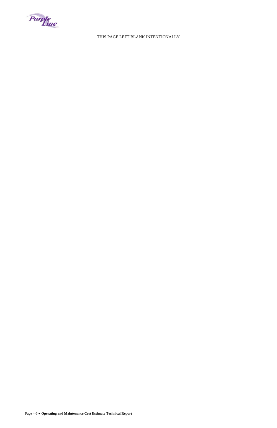Page 4-6 ● **Operating and Maintenance Cost Estimate Technical Report** 



### THIS PAGE LEFT BLANK INTENTIONALLY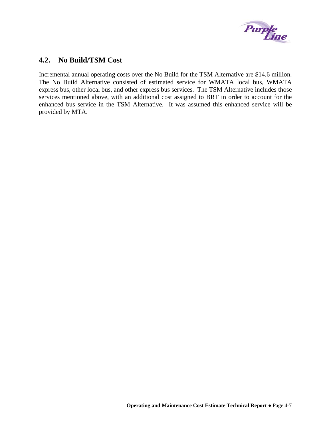

### <span id="page-36-0"></span>**4.2. No Build/TSM Cost**

Incremental annual operating costs over the No Build for the TSM Alternative are \$14.6 million. The No Build Alternative consisted of estimated service for WMATA local bus, WMATA express bus, other local bus, and other express bus services. The TSM Alternative includes those services mentioned above, with an additional cost assigned to BRT in order to account for the enhanced bus service in the TSM Alternative. It was assumed this enhanced service will be provided by MTA.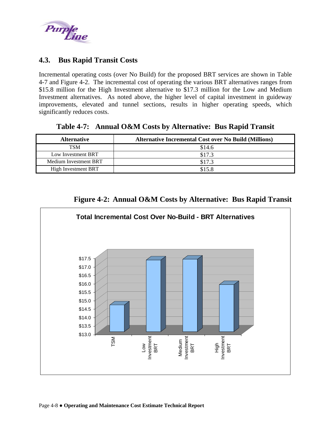<span id="page-37-0"></span>

### **4.3. Bus Rapid Transit Costs**

Incremental operating costs (over No Build) for the proposed BRT services are shown in Table 4-7 and Figure 4-2. The incremental cost of operating the various BRT alternatives ranges from \$15.8 million for the High Investment alternative to \$17.3 million for the Low and Medium Investment alternatives. As noted above, the higher level of capital investment in guideway improvements, elevated and tunnel sections, results in higher operating speeds, which significantly reduces costs.

**Table 4-7: Annual O&M Costs by Alternative: Bus Rapid Transit** 

| <b>Alternative</b>         | <b>Alternative Incremental Cost over No Build (Millions)</b> |
|----------------------------|--------------------------------------------------------------|
| TSM                        | \$14.6                                                       |
| Low Investment BRT         | \$17.3                                                       |
| Medium Investment BRT      | \$17.3                                                       |
| <b>High Investment BRT</b> | \$15.8                                                       |

### **Figure 4-2: Annual O&M Costs by Alternative: Bus Rapid Transit**

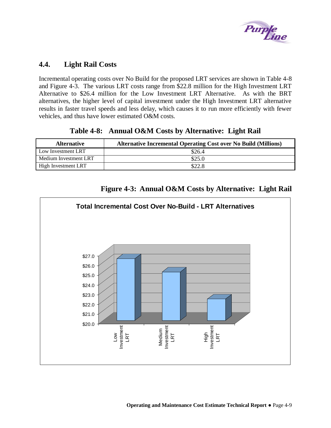

### <span id="page-38-0"></span>**4.4. Light Rail Costs**

Incremental operating costs over No Build for the proposed LRT services are shown in Table 4-8 and Figure 4-3. The various LRT costs range from \$22.8 million for the High Investment LRT Alternative to \$26.4 million for the Low Investment LRT Alternative. As with the BRT alternatives, the higher level of capital investment under the High Investment LRT alternative results in faster travel speeds and less delay, which causes it to run more efficiently with fewer vehicles, and thus have lower estimated O&M costs.

### **Table 4-8: Annual O&M Costs by Alternative: Light Rail**

| <b>Alternative</b>    | <b>Alternative Incremental Operating Cost over No Build (Millions)</b> |
|-----------------------|------------------------------------------------------------------------|
| Low Investment LRT    | \$26.4                                                                 |
| Medium Investment LRT | \$25.0                                                                 |
| High Investment LRT   | \$22.8                                                                 |



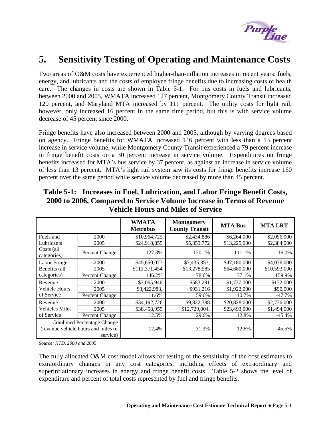

### <span id="page-40-0"></span>**5. Sensitivity Testing of Operating and Maintenance Costs**

Two areas of O&M costs have experienced higher-than-inflation increases in recent years: fuels, energy, and lubricants and the costs of employee fringe benefits due to increasing costs of health care. The changes in costs are shown in Table 5-1. For bus costs in fuels and lubricants, between 2000 and 2005, WMATA increased 127 percent, Montgomery County Transit increased 120 percent, and Maryland MTA increased by 111 percent. The utility costs for light rail, however, only increased 16 percent in the same time period, but this is with service volume decrease of 45 percent since 2000.

Fringe benefits have also increased between 2000 and 2005, although by varying degrees based on agency. Fringe benefits for WMATA increased 146 percent with less than a 13 percent increase in service volume, while Montgomery County Transit experienced a 79 percent increase in fringe benefit costs on a 30 percent increase in service volume. Expenditures on fringe benefits increased for MTA's bus service by 37 percent, as against an increase in service volume of less than 13 percent. MTA's light rail system saw its costs for fringe benefits increase 160 percent over the same period while service volume decreased by more than 45 percent.

|                                                                                      |                | <b>WMATA</b><br><b>Metrobus</b> | <b>Montgomery</b><br><b>County Transit</b> | <b>MTA Bus</b> | <b>MTA LRT</b> |
|--------------------------------------------------------------------------------------|----------------|---------------------------------|--------------------------------------------|----------------|----------------|
| Fuels and                                                                            | 2000           | \$10,964,725                    | \$2,434,886                                | \$6,264,000    | \$2,056,000    |
| Lubricants                                                                           | 2005           | \$24,918,855                    | \$5,359,772                                | \$13,225,000   | \$2,384,000    |
| Costs (all<br>categories)                                                            | Percent Change | 127.3%                          | 120.1%                                     | 111.1%         | 16.0%          |
| Labor Fringe                                                                         | 2000           | \$45,650,077                    | \$7,435,353,                               | \$47,180,000   | \$4,076,000    |
| Benefits (all                                                                        | 2005           | \$112,371,454                   | \$13,278,585                               | \$64,680,000   | \$10,593,000   |
| categories)                                                                          | Percent Change | 146.2%                          | 78.6%                                      | 37.1%          | 159.9%         |
| Revenue                                                                              | 2000           | \$3,065,946                     | \$583,291                                  | \$1,737,000    | \$172,000      |
| <b>Vehicle Hours</b>                                                                 | 2005           | \$3,422,983,                    | \$931,216                                  | \$1,922,000    | \$90,000       |
| of Service                                                                           | Percent Change | 11.6%                           | 59.6%                                      | 10.7%          | $-47.7%$       |
| Revenue                                                                              | 2000           | \$34,192,726                    | \$9,822,388                                | \$20,828,000   | \$2,736,000    |
| <b>Vehicles Miles</b>                                                                | 2005           | \$38,458,955                    | \$12,729,004,                              | \$23,493,000   | \$1,494,000    |
| of Service                                                                           | Percent Change | 12.5%                           | 29.6%                                      | 12.8%          | $-45.4%$       |
| <b>Combined Percentage Change</b><br>(revenue vehicle hours and miles of<br>service) |                | 12.4%                           | 31.3%                                      | 12.6%          | $-45.5%$       |

### **Table 5-1: Increases in Fuel, Lubrication, and Labor Fringe Benefit Costs, 2000 to 2006, Compared to Service Volume Increase in Terms of Revenue Vehicle Hours and Miles of Service**

*Source: NTD, 2000 and 2005* 

The fully allocated O&M cost model allows for testing of the sensitivity of the cost estimates to extraordinary changes in any cost categories, including effects of extraordinary and superinflationary increases in energy and fringe benefit costs. Table 5-2 shows the level of expenditure and percent of total costs represented by fuel and fringe benefits.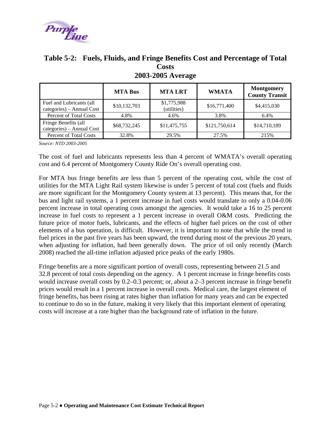<span id="page-41-0"></span>

|                                                       | <b>MTA Bus</b> | <b>MTA LRT</b>             | <b>WMATA</b>  | <b>Montgomery</b><br><b>County Transit</b> |
|-------------------------------------------------------|----------------|----------------------------|---------------|--------------------------------------------|
| Fuel and Lubricants (all<br>categories) – Annual Cost | \$10,132,703   | \$1,775,988<br>(utilities) | \$16,771,400  | \$4,415,030                                |
| Percent of Total Costs                                | 4.8%           | 4.6%                       | 3.8%          | 6.4%                                       |
| Fringe Benefits (all<br>categories) – Annual Cost     | \$68,732,245   | \$11,475,755               | \$121,750,614 | \$14,710,189                               |
| Percent of Total Costs                                | 32.8%          | 29.5%                      | 27.5%         | 215%                                       |

### **Table 5-2: Fuels, Fluids, and Fringe Benefits Cost and Percentage of Total Costs 2003-2005 Average**

*Source: NTD 2003-2005* 

The cost of fuel and lubricants represents less than 4 percent of WMATA's overall operating cost and 6.4 percent of Montgomery County Ride On's overall operating cost.

For MTA bus fringe benefits are less than 5 percent of the operating cost, while the cost of utilities for the MTA Light Rail system likewise is under 5 percent of total cost (fuels and fluids are more significant for the Montgomery County system at 13 percent). This means that, for the bus and light rail systems, a 1 percent increase in fuel costs would translate to only a 0.04-0.06 percent increase in total operating costs amongst the agencies. It would take a 16 to 25 percent increase in fuel costs to represent a 1 percent increase in overall O&M costs. Predicting the future price of motor fuels, lubricants, and the effects of higher fuel prices on the cost of other elements of a bus operation, is difficult. However, it is important to note that while the trend in fuel prices in the past five years has been upward, the trend during most of the previous 20 years, when adjusting for inflation, had been generally down. The price of oil only recently (March 2008) reached the all-time inflation adjusted price peaks of the early 1980s.

Fringe benefits are a more significant portion of overall costs, representing between 21.5 and 32.8 percent of total costs depending on the agency. A 1 percent increase in fringe benefits costs would increase overall costs by 0.2–0.3 percent; or, about a 2–3 percent increase in fringe benefit prices would result in a 1 percent increase in overall costs. Medical care, the largest element of fringe benefits, has been rising at rates higher than inflation for many years and can be expected to continue to do so in the future, making it very likely that this important element of operating costs will increase at a rate higher than the background rate of inflation in the future.